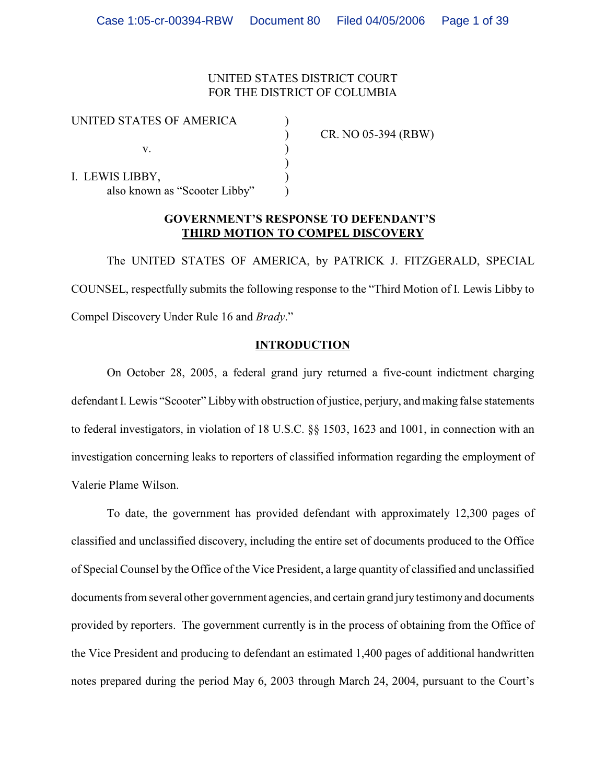## UNITED STATES DISTRICT COURT FOR THE DISTRICT OF COLUMBIA

| UNITED STATES OF AMERICA      |                     |
|-------------------------------|---------------------|
|                               | CR. NO 05-394 (RBW) |
|                               |                     |
|                               |                     |
| I. LEWIS LIBBY,               |                     |
| also known as "Scooter Libby" |                     |

# **GOVERNMENT'S RESPONSE TO DEFENDANT'S THIRD MOTION TO COMPEL DISCOVERY**

The UNITED STATES OF AMERICA, by PATRICK J. FITZGERALD, SPECIAL COUNSEL, respectfully submits the following response to the "Third Motion of I. Lewis Libby to Compel Discovery Under Rule 16 and *Brady*."

## **INTRODUCTION**

On October 28, 2005, a federal grand jury returned a five-count indictment charging defendant I. Lewis "Scooter" Libby with obstruction of justice, perjury, and making false statements to federal investigators, in violation of 18 U.S.C. §§ 1503, 1623 and 1001, in connection with an investigation concerning leaks to reporters of classified information regarding the employment of Valerie Plame Wilson.

To date, the government has provided defendant with approximately 12,300 pages of classified and unclassified discovery, including the entire set of documents produced to the Office of Special Counsel by the Office of the Vice President, a large quantity of classified and unclassified documents from several other government agencies, and certain grand jury testimony and documents provided by reporters. The government currently is in the process of obtaining from the Office of the Vice President and producing to defendant an estimated 1,400 pages of additional handwritten notes prepared during the period May 6, 2003 through March 24, 2004, pursuant to the Court's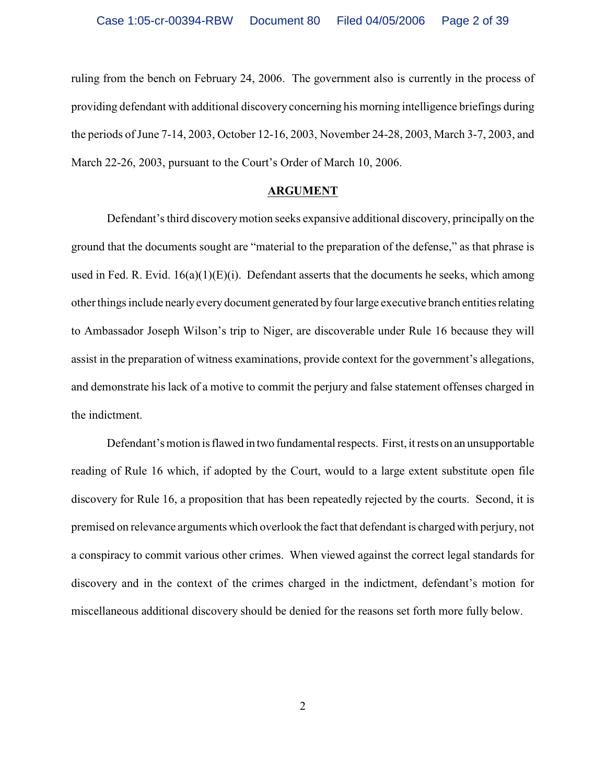ruling from the bench on February 24, 2006. The government also is currently in the process of providing defendant with additional discovery concerning his morning intelligence briefings during the periods of June 7-14, 2003, October 12-16, 2003, November 24-28, 2003, March 3-7, 2003, and March 22-26, 2003, pursuant to the Court's Order of March 10, 2006.

#### **ARGUMENT**

Defendant's third discovery motion seeks expansive additional discovery, principally on the ground that the documents sought are "material to the preparation of the defense," as that phrase is used in Fed. R. Evid.  $16(a)(1)(E)(i)$ . Defendant asserts that the documents he seeks, which among other things include nearly every document generated by four large executive branch entities relating to Ambassador Joseph Wilson's trip to Niger, are discoverable under Rule 16 because they will assist in the preparation of witness examinations, provide context for the government's allegations, and demonstrate his lack of a motive to commit the perjury and false statement offenses charged in the indictment.

Defendant's motion is flawed in two fundamental respects. First, it rests on an unsupportable reading of Rule 16 which, if adopted by the Court, would to a large extent substitute open file discovery for Rule 16, a proposition that has been repeatedly rejected by the courts. Second, it is premised on relevance arguments which overlook the fact that defendant is charged with perjury, not a conspiracy to commit various other crimes. When viewed against the correct legal standards for discovery and in the context of the crimes charged in the indictment, defendant's motion for miscellaneous additional discovery should be denied for the reasons set forth more fully below.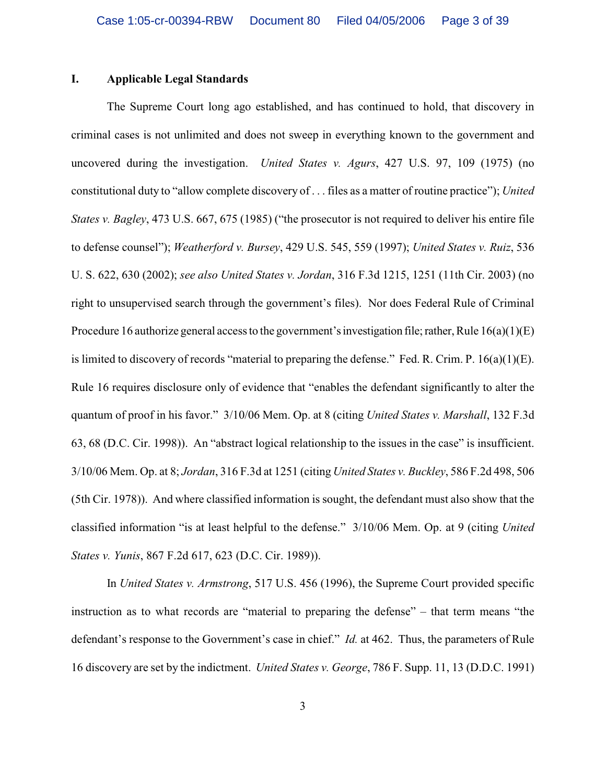#### **I. Applicable Legal Standards**

The Supreme Court long ago established, and has continued to hold, that discovery in criminal cases is not unlimited and does not sweep in everything known to the government and uncovered during the investigation. *United States v. Agurs*, 427 U.S. 97, 109 (1975) (no constitutional duty to "allow complete discovery of . . . files as a matter of routine practice"); *United States v. Bagley*, 473 U.S. 667, 675 (1985) ("the prosecutor is not required to deliver his entire file to defense counsel"); *Weatherford v. Bursey*, 429 U.S. 545, 559 (1997); *United States v. Ruiz*, 536 U. S. 622, 630 (2002); *see also United States v. Jordan*, 316 F.3d 1215, 1251 (11th Cir. 2003) (no right to unsupervised search through the government's files). Nor does Federal Rule of Criminal Procedure 16 authorize general access to the government's investigation file; rather, Rule 16(a)(1)(E) is limited to discovery of records "material to preparing the defense." Fed. R. Crim. P. 16(a)(1)(E). Rule 16 requires disclosure only of evidence that "enables the defendant significantly to alter the quantum of proof in his favor." 3/10/06 Mem. Op. at 8 (citing *United States v. Marshall*, 132 F.3d 63, 68 (D.C. Cir. 1998)). An "abstract logical relationship to the issues in the case" is insufficient. 3/10/06 Mem. Op. at 8; *Jordan*, 316 F.3d at 1251 (citing *United States v. Buckley*, 586 F.2d 498, 506 (5th Cir. 1978)). And where classified information is sought, the defendant must also show that the classified information "is at least helpful to the defense." 3/10/06 Mem. Op. at 9 (citing *United States v. Yunis*, 867 F.2d 617, 623 (D.C. Cir. 1989)).

In *United States v. Armstrong*, 517 U.S. 456 (1996), the Supreme Court provided specific instruction as to what records are "material to preparing the defense" – that term means "the defendant's response to the Government's case in chief." *Id.* at 462. Thus, the parameters of Rule 16 discovery are set by the indictment. *United States v. George*, 786 F. Supp. 11, 13 (D.D.C. 1991)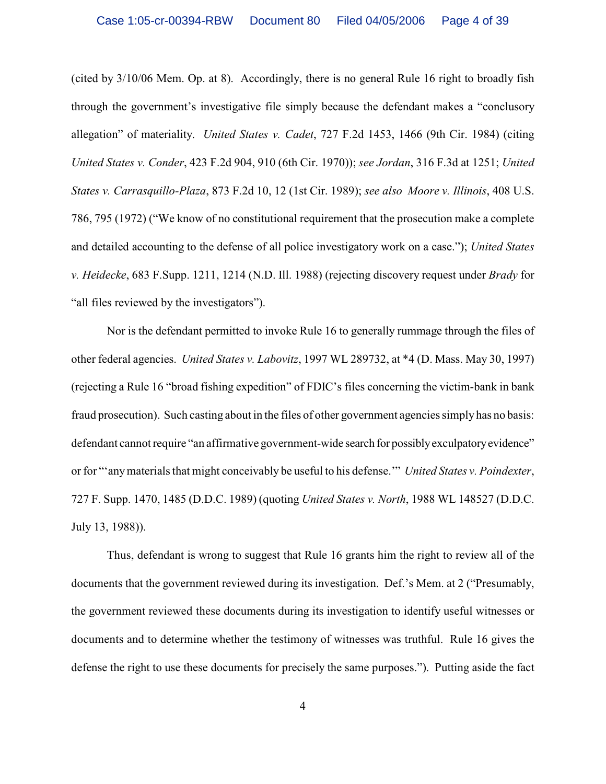(cited by 3/10/06 Mem. Op. at 8). Accordingly, there is no general Rule 16 right to broadly fish through the government's investigative file simply because the defendant makes a "conclusory allegation" of materiality. *United States v. Cadet*, 727 F.2d 1453, 1466 (9th Cir. 1984) (citing *United States v. Conder*, 423 F.2d 904, 910 (6th Cir. 1970)); *see Jordan*, 316 F.3d at 1251; *United States v. Carrasquillo-Plaza*, 873 F.2d 10, 12 (1st Cir. 1989); *see also Moore v. Illinois*, 408 U.S. 786, 795 (1972) ("We know of no constitutional requirement that the prosecution make a complete and detailed accounting to the defense of all police investigatory work on a case."); *United States v. Heidecke*, 683 F.Supp. 1211, 1214 (N.D. Ill. 1988) (rejecting discovery request under *Brady* for "all files reviewed by the investigators").

Nor is the defendant permitted to invoke Rule 16 to generally rummage through the files of other federal agencies. *United States v. Labovitz*, 1997 WL 289732, at \*4 (D. Mass. May 30, 1997) (rejecting a Rule 16 "broad fishing expedition" of FDIC's files concerning the victim-bank in bank fraud prosecution). Such casting about in the files of other government agencies simply has no basis: defendant cannot require "an affirmative government-wide search for possibly exculpatory evidence" or for "'any materials that might conceivably be useful to his defense.'" *United States v. Poindexter*, 727 F. Supp. 1470, 1485 (D.D.C. 1989) (quoting *United States v. North*, 1988 WL 148527 (D.D.C. July 13, 1988)).

Thus, defendant is wrong to suggest that Rule 16 grants him the right to review all of the documents that the government reviewed during its investigation. Def.'s Mem. at 2 ("Presumably, the government reviewed these documents during its investigation to identify useful witnesses or documents and to determine whether the testimony of witnesses was truthful. Rule 16 gives the defense the right to use these documents for precisely the same purposes."). Putting aside the fact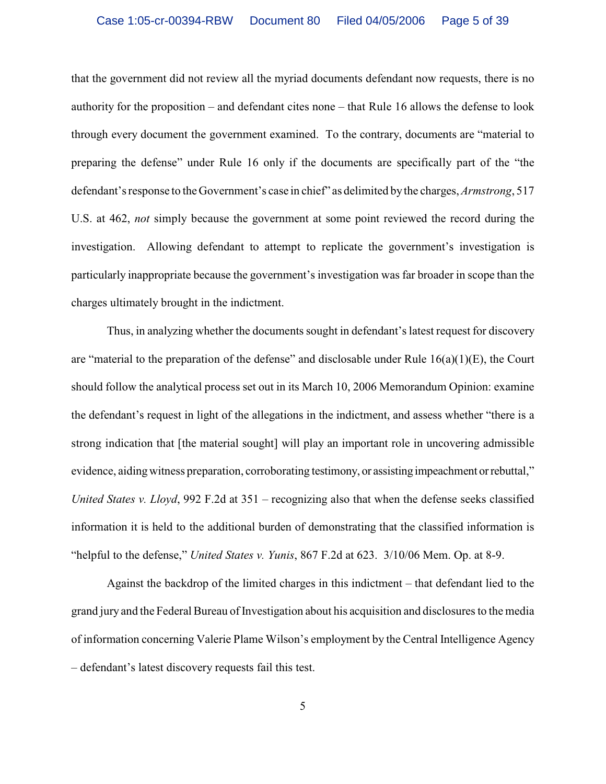that the government did not review all the myriad documents defendant now requests, there is no authority for the proposition – and defendant cites none – that Rule 16 allows the defense to look through every document the government examined. To the contrary, documents are "material to preparing the defense" under Rule 16 only if the documents are specifically part of the "the defendant's response to theGovernment's case in chief" as delimited by the charges, *Armstrong*, 517 U.S. at 462, *not* simply because the government at some point reviewed the record during the investigation. Allowing defendant to attempt to replicate the government's investigation is particularly inappropriate because the government's investigation was far broader in scope than the charges ultimately brought in the indictment.

Thus, in analyzing whether the documents sought in defendant's latest request for discovery are "material to the preparation of the defense" and disclosable under Rule  $16(a)(1)(E)$ , the Court should follow the analytical process set out in its March 10, 2006 Memorandum Opinion: examine the defendant's request in light of the allegations in the indictment, and assess whether "there is a strong indication that [the material sought] will play an important role in uncovering admissible evidence, aiding witness preparation, corroborating testimony, or assisting impeachment or rebuttal," *United States v. Lloyd*, 992 F.2d at 351 – recognizing also that when the defense seeks classified information it is held to the additional burden of demonstrating that the classified information is "helpful to the defense," *United States v. Yunis*, 867 F.2d at 623. 3/10/06 Mem. Op. at 8-9.

Against the backdrop of the limited charges in this indictment – that defendant lied to the grand jury and the Federal Bureau of Investigation about his acquisition and disclosures to the media of information concerning Valerie Plame Wilson's employment by the Central Intelligence Agency – defendant's latest discovery requests fail this test.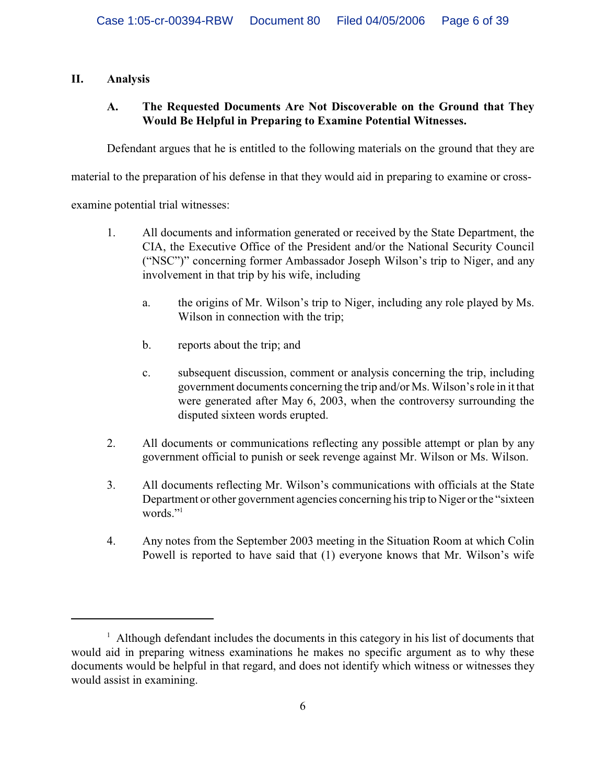# **II. Analysis**

# **A. The Requested Documents Are Not Discoverable on the Ground that They Would Be Helpful in Preparing to Examine Potential Witnesses.**

Defendant argues that he is entitled to the following materials on the ground that they are

material to the preparation of his defense in that they would aid in preparing to examine or cross-

examine potential trial witnesses:

- 1. All documents and information generated or received by the State Department, the CIA, the Executive Office of the President and/or the National Security Council ("NSC")" concerning former Ambassador Joseph Wilson's trip to Niger, and any involvement in that trip by his wife, including
	- a. the origins of Mr. Wilson's trip to Niger, including any role played by Ms. Wilson in connection with the trip;
	- b. reports about the trip; and
	- c. subsequent discussion, comment or analysis concerning the trip, including government documents concerning the trip and/or Ms. Wilson's role in it that were generated after May 6, 2003, when the controversy surrounding the disputed sixteen words erupted.
- 2. All documents or communications reflecting any possible attempt or plan by any government official to punish or seek revenge against Mr. Wilson or Ms. Wilson.
- 3. All documents reflecting Mr. Wilson's communications with officials at the State Department or other government agencies concerning his trip to Niger or the "sixteen words."
- 4. Any notes from the September 2003 meeting in the Situation Room at which Colin Powell is reported to have said that (1) everyone knows that Mr. Wilson's wife

 $<sup>1</sup>$  Although defendant includes the documents in this category in his list of documents that</sup> would aid in preparing witness examinations he makes no specific argument as to why these documents would be helpful in that regard, and does not identify which witness or witnesses they would assist in examining.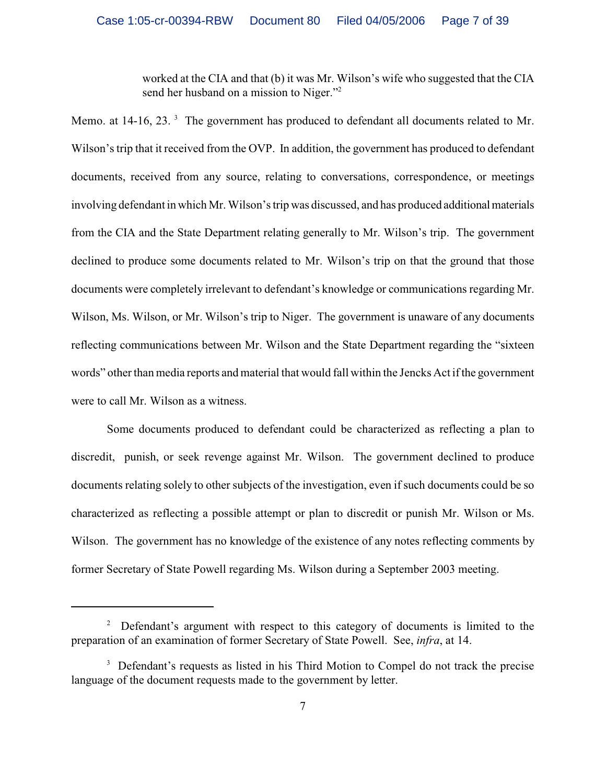worked at the CIA and that (b) it was Mr. Wilson's wife who suggested that the CIA send her husband on a mission to Niger."<sup>2</sup>

Memo. at 14-16, 23.<sup>3</sup> The government has produced to defendant all documents related to Mr. Wilson's trip that it received from the OVP. In addition, the government has produced to defendant documents, received from any source, relating to conversations, correspondence, or meetings involving defendant in which Mr. Wilson's trip was discussed, and has produced additional materials from the CIA and the State Department relating generally to Mr. Wilson's trip. The government declined to produce some documents related to Mr. Wilson's trip on that the ground that those documents were completely irrelevant to defendant's knowledge or communications regarding Mr. Wilson, Ms. Wilson, or Mr. Wilson's trip to Niger. The government is unaware of any documents reflecting communications between Mr. Wilson and the State Department regarding the "sixteen words" other than media reports and material that would fall within the Jencks Act if the government were to call Mr. Wilson as a witness.

Some documents produced to defendant could be characterized as reflecting a plan to discredit, punish, or seek revenge against Mr. Wilson. The government declined to produce documents relating solely to other subjects of the investigation, even if such documents could be so characterized as reflecting a possible attempt or plan to discredit or punish Mr. Wilson or Ms. Wilson. The government has no knowledge of the existence of any notes reflecting comments by former Secretary of State Powell regarding Ms. Wilson during a September 2003 meeting.

 $\mu$ <sup>2</sup> Defendant's argument with respect to this category of documents is limited to the preparation of an examination of former Secretary of State Powell. See, *infra*, at 14.

<sup>&</sup>lt;sup>3</sup> Defendant's requests as listed in his Third Motion to Compel do not track the precise language of the document requests made to the government by letter.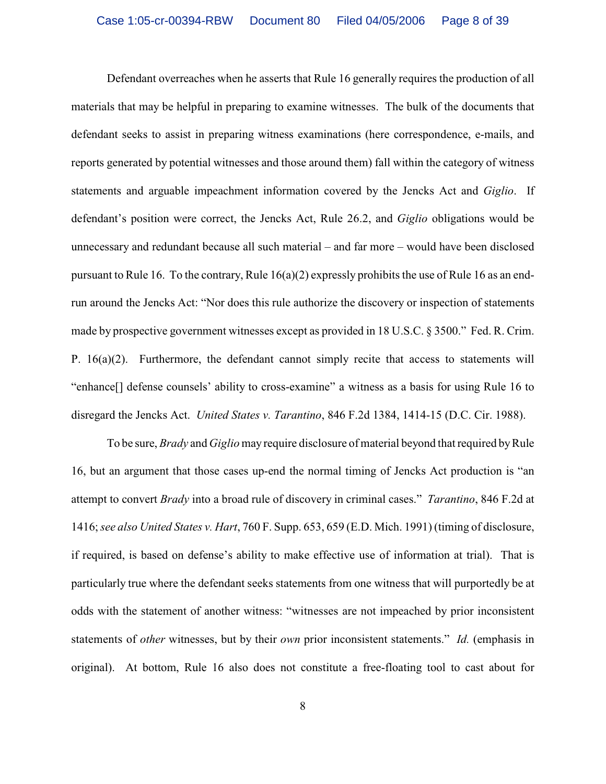Defendant overreaches when he asserts that Rule 16 generally requires the production of all materials that may be helpful in preparing to examine witnesses. The bulk of the documents that defendant seeks to assist in preparing witness examinations (here correspondence, e-mails, and reports generated by potential witnesses and those around them) fall within the category of witness statements and arguable impeachment information covered by the Jencks Act and *Giglio*. If defendant's position were correct, the Jencks Act, Rule 26.2, and *Giglio* obligations would be unnecessary and redundant because all such material – and far more – would have been disclosed pursuant to Rule 16. To the contrary, Rule 16(a)(2) expressly prohibits the use of Rule 16 as an endrun around the Jencks Act: "Nor does this rule authorize the discovery or inspection of statements made by prospective government witnesses except as provided in 18 U.S.C. § 3500." Fed. R. Crim. P. 16(a)(2). Furthermore, the defendant cannot simply recite that access to statements will "enhance[] defense counsels' ability to cross-examine" a witness as a basis for using Rule 16 to disregard the Jencks Act. *United States v. Tarantino*, 846 F.2d 1384, 1414-15 (D.C. Cir. 1988).

To be sure, *Brady* and *Giglio* may require disclosure of material beyond that required by Rule 16, but an argument that those cases up-end the normal timing of Jencks Act production is "an attempt to convert *Brady* into a broad rule of discovery in criminal cases." *Tarantino*, 846 F.2d at 1416; *see also United States v. Hart*, 760 F. Supp. 653, 659 (E.D. Mich. 1991) (timing of disclosure, if required, is based on defense's ability to make effective use of information at trial). That is particularly true where the defendant seeks statements from one witness that will purportedly be at odds with the statement of another witness: "witnesses are not impeached by prior inconsistent statements of *other* witnesses, but by their *own* prior inconsistent statements." *Id.* (emphasis in original). At bottom, Rule 16 also does not constitute a free-floating tool to cast about for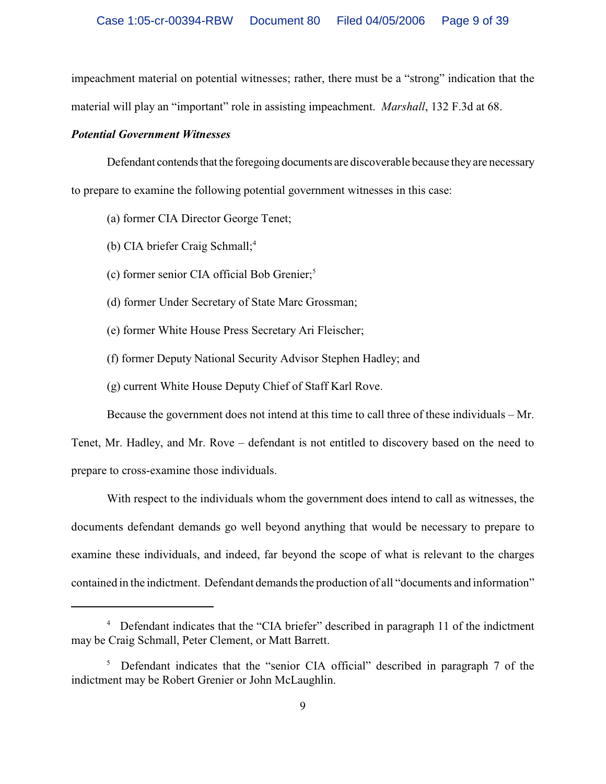impeachment material on potential witnesses; rather, there must be a "strong" indication that the material will play an "important" role in assisting impeachment. *Marshall*, 132 F.3d at 68.

#### *Potential Government Witnesses*

Defendant contends that the foregoing documents are discoverable because they are necessary to prepare to examine the following potential government witnesses in this case:

- (a) former CIA Director George Tenet;
- (b) CIA briefer Craig Schmall;<sup>4</sup>
- $(c)$  former senior CIA official Bob Grenier;<sup>5</sup>
- (d) former Under Secretary of State Marc Grossman;
- (e) former White House Press Secretary Ari Fleischer;
- (f) former Deputy National Security Advisor Stephen Hadley; and
- (g) current White House Deputy Chief of Staff Karl Rove.

Because the government does not intend at this time to call three of these individuals – Mr.

Tenet, Mr. Hadley, and Mr. Rove – defendant is not entitled to discovery based on the need to prepare to cross-examine those individuals.

With respect to the individuals whom the government does intend to call as witnesses, the documents defendant demands go well beyond anything that would be necessary to prepare to examine these individuals, and indeed, far beyond the scope of what is relevant to the charges contained in the indictment. Defendant demands the production of all "documents and information"

<sup>&</sup>lt;sup>4</sup> Defendant indicates that the "CIA briefer" described in paragraph 11 of the indictment may be Craig Schmall, Peter Clement, or Matt Barrett.

 $5$  Defendant indicates that the "senior CIA official" described in paragraph 7 of the indictment may be Robert Grenier or John McLaughlin.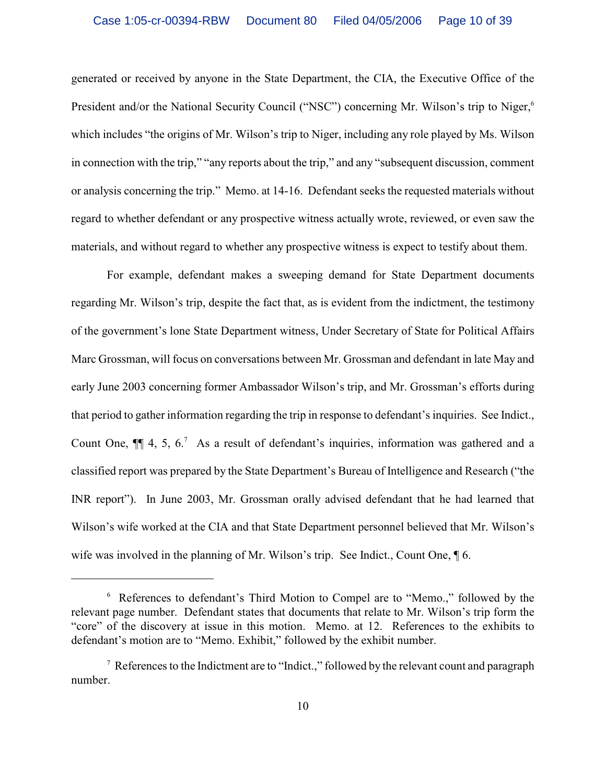generated or received by anyone in the State Department, the CIA, the Executive Office of the President and/or the National Security Council ("NSC") concerning Mr. Wilson's trip to Niger,<sup>6</sup> which includes "the origins of Mr. Wilson's trip to Niger, including any role played by Ms. Wilson in connection with the trip," "any reports about the trip," and any "subsequent discussion, comment or analysis concerning the trip." Memo. at 14-16. Defendant seeks the requested materials without regard to whether defendant or any prospective witness actually wrote, reviewed, or even saw the materials, and without regard to whether any prospective witness is expect to testify about them.

For example, defendant makes a sweeping demand for State Department documents regarding Mr. Wilson's trip, despite the fact that, as is evident from the indictment, the testimony of the government's lone State Department witness, Under Secretary of State for Political Affairs Marc Grossman, will focus on conversations between Mr. Grossman and defendant in late May and early June 2003 concerning former Ambassador Wilson's trip, and Mr. Grossman's efforts during that period to gather information regarding the trip in response to defendant's inquiries. See Indict., Count One,  $\P$  4, 5, 6.<sup>7</sup> As a result of defendant's inquiries, information was gathered and a classified report was prepared by the State Department's Bureau of Intelligence and Research ("the INR report"). In June 2003, Mr. Grossman orally advised defendant that he had learned that Wilson's wife worked at the CIA and that State Department personnel believed that Mr. Wilson's wife was involved in the planning of Mr. Wilson's trip. See Indict., Count One, ¶ 6.

References to defendant's Third Motion to Compel are to "Memo.," followed by the <sup>6</sup> relevant page number. Defendant states that documents that relate to Mr. Wilson's trip form the "core" of the discovery at issue in this motion. Memo. at 12. References to the exhibits to defendant's motion are to "Memo. Exhibit," followed by the exhibit number.

 $\alpha$  References to the Indictment are to "Indict.," followed by the relevant count and paragraph number.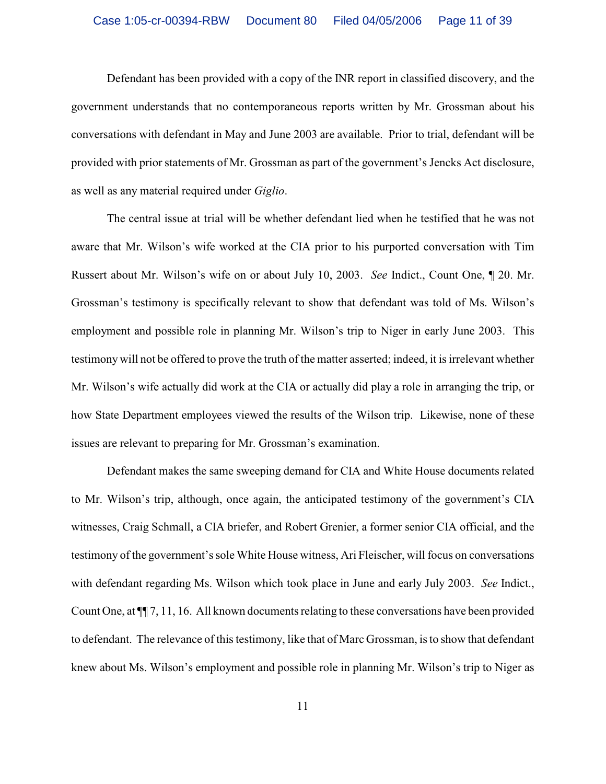Defendant has been provided with a copy of the INR report in classified discovery, and the government understands that no contemporaneous reports written by Mr. Grossman about his conversations with defendant in May and June 2003 are available. Prior to trial, defendant will be provided with prior statements of Mr. Grossman as part of the government's Jencks Act disclosure, as well as any material required under *Giglio*.

 The central issue at trial will be whether defendant lied when he testified that he was not aware that Mr. Wilson's wife worked at the CIA prior to his purported conversation with Tim Russert about Mr. Wilson's wife on or about July 10, 2003. *See* Indict., Count One, ¶ 20. Mr. Grossman's testimony is specifically relevant to show that defendant was told of Ms. Wilson's employment and possible role in planning Mr. Wilson's trip to Niger in early June 2003. This testimony will not be offered to prove the truth of the matter asserted; indeed, it is irrelevant whether Mr. Wilson's wife actually did work at the CIA or actually did play a role in arranging the trip, or how State Department employees viewed the results of the Wilson trip. Likewise, none of these issues are relevant to preparing for Mr. Grossman's examination.

Defendant makes the same sweeping demand for CIA and White House documents related to Mr. Wilson's trip, although, once again, the anticipated testimony of the government's CIA witnesses, Craig Schmall, a CIA briefer, and Robert Grenier, a former senior CIA official, and the testimony of the government's sole White House witness, Ari Fleischer, will focus on conversations with defendant regarding Ms. Wilson which took place in June and early July 2003. *See* Indict., Count One, at ¶¶ 7, 11, 16. All known documents relating to these conversations have been provided to defendant. The relevance of this testimony, like that of Marc Grossman, is to show that defendant knew about Ms. Wilson's employment and possible role in planning Mr. Wilson's trip to Niger as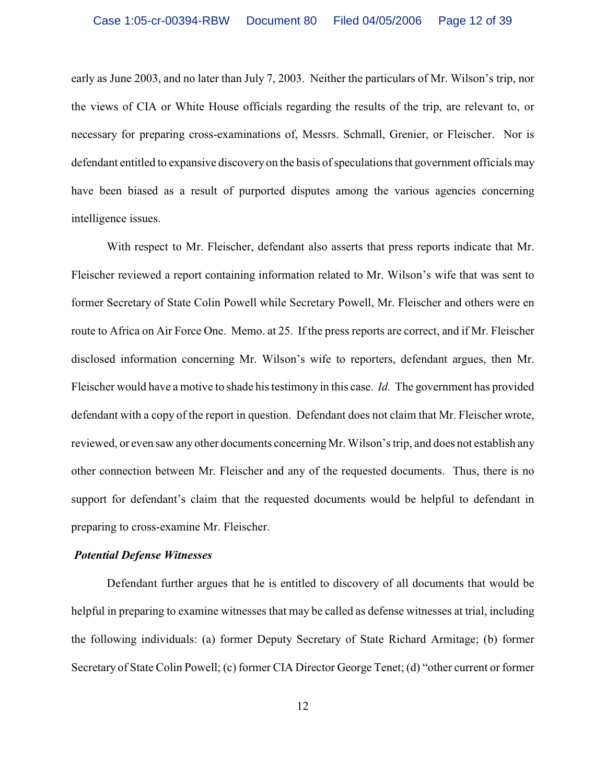early as June 2003, and no later than July 7, 2003. Neither the particulars of Mr. Wilson's trip, nor the views of CIA or White House officials regarding the results of the trip, are relevant to, or necessary for preparing cross-examinations of, Messrs. Schmall, Grenier, or Fleischer. Nor is defendant entitled to expansive discovery on the basis of speculations that government officials may have been biased as a result of purported disputes among the various agencies concerning intelligence issues.

With respect to Mr. Fleischer, defendant also asserts that press reports indicate that Mr. Fleischer reviewed a report containing information related to Mr. Wilson's wife that was sent to former Secretary of State Colin Powell while Secretary Powell, Mr. Fleischer and others were en route to Africa on Air Force One. Memo. at 25. If the press reports are correct, and if Mr. Fleischer disclosed information concerning Mr. Wilson's wife to reporters, defendant argues, then Mr. Fleischer would have a motive to shade his testimony in this case. *Id.* The government has provided defendant with a copy of the report in question. Defendant does not claim that Mr. Fleischer wrote, reviewed, or even saw any other documents concerning Mr. Wilson's trip, and does not establish any other connection between Mr. Fleischer and any of the requested documents. Thus, there is no support for defendant's claim that the requested documents would be helpful to defendant in preparing to cross-examine Mr. Fleischer.

### *Potential Defense Witnesses*

Defendant further argues that he is entitled to discovery of all documents that would be helpful in preparing to examine witnesses that may be called as defense witnesses at trial, including the following individuals: (a) former Deputy Secretary of State Richard Armitage; (b) former Secretary of State Colin Powell; (c) former CIA Director George Tenet; (d) "other current or former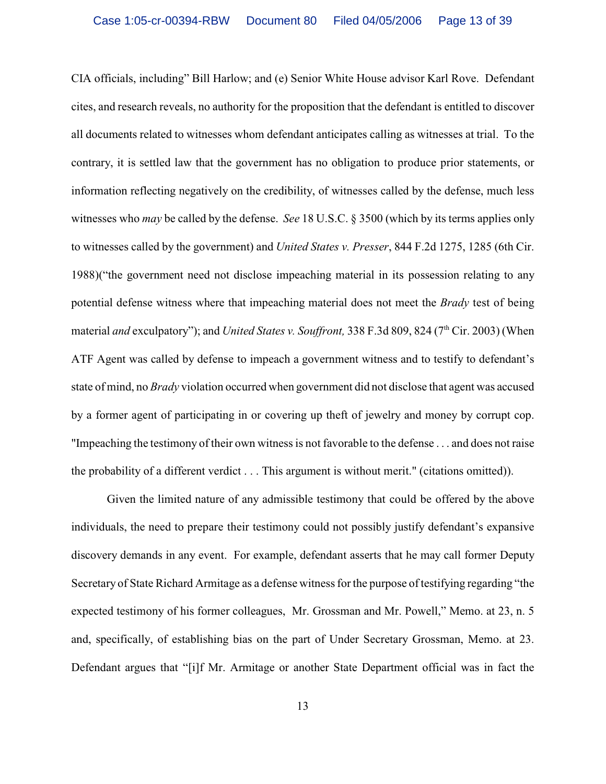CIA officials, including" Bill Harlow; and (e) Senior White House advisor Karl Rove. Defendant cites, and research reveals, no authority for the proposition that the defendant is entitled to discover all documents related to witnesses whom defendant anticipates calling as witnesses at trial. To the contrary, it is settled law that the government has no obligation to produce prior statements, or information reflecting negatively on the credibility, of witnesses called by the defense, much less witnesses who *may* be called by the defense. *See* 18 U.S.C. § 3500 (which by its terms applies only to witnesses called by the government) and *United States v. Presser*, 844 F.2d 1275, 1285 (6th Cir. 1988)("the government need not disclose impeaching material in its possession relating to any potential defense witness where that impeaching material does not meet the *Brady* test of being material *and* exculpatory"); and *United States v. Souffront*, 338 F.3d 809, 824 (7<sup>th</sup> Cir. 2003) (When ATF Agent was called by defense to impeach a government witness and to testify to defendant's state of mind, no *Brady* violation occurred when government did not disclose that agent was accused by a former agent of participating in or covering up theft of jewelry and money by corrupt cop. "Impeaching the testimony of their own witness is not favorable to the defense . . . and does not raise the probability of a different verdict . . . This argument is without merit." (citations omitted)).

Given the limited nature of any admissible testimony that could be offered by the above individuals, the need to prepare their testimony could not possibly justify defendant's expansive discovery demands in any event. For example, defendant asserts that he may call former Deputy Secretary of State Richard Armitage as a defense witness for the purpose of testifying regarding "the expected testimony of his former colleagues, Mr. Grossman and Mr. Powell," Memo. at 23, n. 5 and, specifically, of establishing bias on the part of Under Secretary Grossman, Memo. at 23. Defendant argues that "[i]f Mr. Armitage or another State Department official was in fact the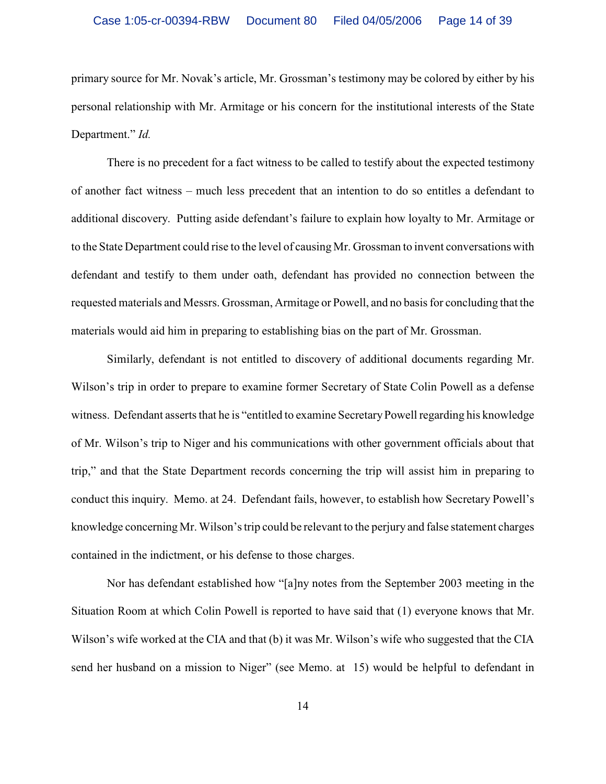primary source for Mr. Novak's article, Mr. Grossman's testimony may be colored by either by his personal relationship with Mr. Armitage or his concern for the institutional interests of the State Department." *Id.*

There is no precedent for a fact witness to be called to testify about the expected testimony of another fact witness – much less precedent that an intention to do so entitles a defendant to additional discovery. Putting aside defendant's failure to explain how loyalty to Mr. Armitage or to the State Department could rise to the level of causing Mr. Grossman to invent conversations with defendant and testify to them under oath, defendant has provided no connection between the requested materials and Messrs. Grossman, Armitage or Powell, and no basis for concluding that the materials would aid him in preparing to establishing bias on the part of Mr. Grossman.

Similarly, defendant is not entitled to discovery of additional documents regarding Mr. Wilson's trip in order to prepare to examine former Secretary of State Colin Powell as a defense witness. Defendant asserts that he is "entitled to examine SecretaryPowell regarding his knowledge of Mr. Wilson's trip to Niger and his communications with other government officials about that trip," and that the State Department records concerning the trip will assist him in preparing to conduct this inquiry. Memo. at 24. Defendant fails, however, to establish how Secretary Powell's knowledge concerning Mr. Wilson's trip could be relevant to the perjury and false statement charges contained in the indictment, or his defense to those charges.

Nor has defendant established how "[a]ny notes from the September 2003 meeting in the Situation Room at which Colin Powell is reported to have said that (1) everyone knows that Mr. Wilson's wife worked at the CIA and that (b) it was Mr. Wilson's wife who suggested that the CIA send her husband on a mission to Niger" (see Memo. at 15) would be helpful to defendant in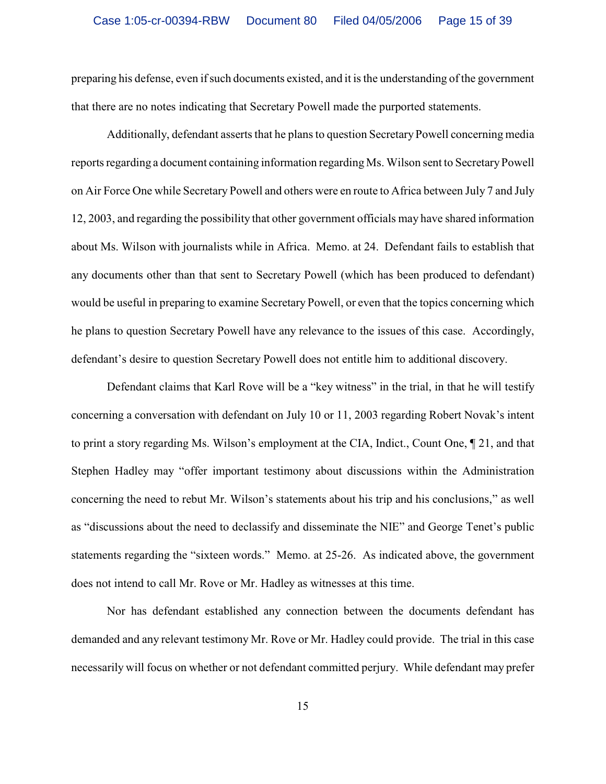preparing his defense, even ifsuch documents existed, and it is the understanding of the government that there are no notes indicating that Secretary Powell made the purported statements.

Additionally, defendant asserts that he plansto question Secretary Powell concerning media reports regarding a document containing information regarding Ms. Wilson sent to Secretary Powell on Air Force One while Secretary Powell and others were en route to Africa between July 7 and July 12, 2003, and regarding the possibility that other government officials may have shared information about Ms. Wilson with journalists while in Africa. Memo. at 24. Defendant fails to establish that any documents other than that sent to Secretary Powell (which has been produced to defendant) would be useful in preparing to examine Secretary Powell, or even that the topics concerning which he plans to question Secretary Powell have any relevance to the issues of this case. Accordingly, defendant's desire to question Secretary Powell does not entitle him to additional discovery.

Defendant claims that Karl Rove will be a "key witness" in the trial, in that he will testify concerning a conversation with defendant on July 10 or 11, 2003 regarding Robert Novak's intent to print a story regarding Ms. Wilson's employment at the CIA, Indict., Count One, ¶ 21, and that Stephen Hadley may "offer important testimony about discussions within the Administration concerning the need to rebut Mr. Wilson's statements about his trip and his conclusions," as well as "discussions about the need to declassify and disseminate the NIE" and George Tenet's public statements regarding the "sixteen words." Memo. at 25-26. As indicated above, the government does not intend to call Mr. Rove or Mr. Hadley as witnesses at this time.

Nor has defendant established any connection between the documents defendant has demanded and any relevant testimony Mr. Rove or Mr. Hadley could provide. The trial in this case necessarily will focus on whether or not defendant committed perjury. While defendant may prefer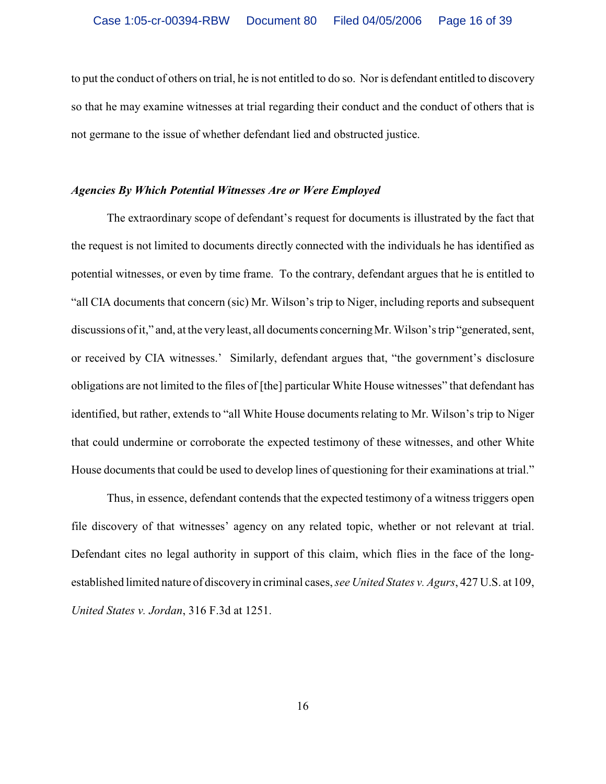to put the conduct of others on trial, he is not entitled to do so. Nor is defendant entitled to discovery so that he may examine witnesses at trial regarding their conduct and the conduct of others that is not germane to the issue of whether defendant lied and obstructed justice.

#### *Agencies By Which Potential Witnesses Are or Were Employed*

The extraordinary scope of defendant's request for documents is illustrated by the fact that the request is not limited to documents directly connected with the individuals he has identified as potential witnesses, or even by time frame. To the contrary, defendant argues that he is entitled to "all CIA documents that concern (sic) Mr. Wilson's trip to Niger, including reports and subsequent discussions of it," and, at the very least, all documents concerning Mr. Wilson's trip "generated, sent, or received by CIA witnesses.' Similarly, defendant argues that, "the government's disclosure obligations are not limited to the files of [the] particular White House witnesses" that defendant has identified, but rather, extends to "all White House documents relating to Mr. Wilson's trip to Niger that could undermine or corroborate the expected testimony of these witnesses, and other White House documents that could be used to develop lines of questioning for their examinations at trial."

Thus, in essence, defendant contends that the expected testimony of a witness triggers open file discovery of that witnesses' agency on any related topic, whether or not relevant at trial. Defendant cites no legal authority in support of this claim, which flies in the face of the longestablished limited nature of discovery in criminal cases, *see United States v. Agurs*, 427 U.S. at 109, *United States v. Jordan*, 316 F.3d at 1251.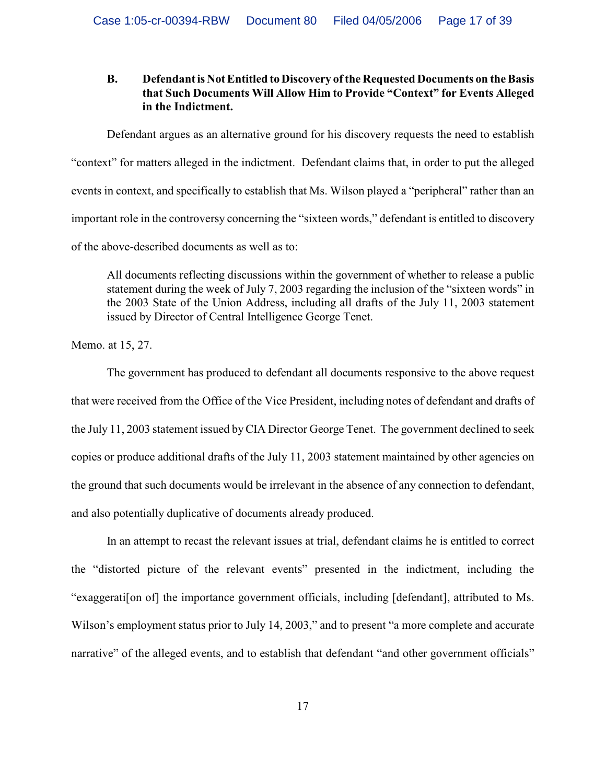# **B. Defendantis Not Entitled toDiscovery of the Requested Documents on the Basis that Such Documents Will Allow Him to Provide "Context" for Events Alleged in the Indictment.**

Defendant argues as an alternative ground for his discovery requests the need to establish "context" for matters alleged in the indictment. Defendant claims that, in order to put the alleged events in context, and specifically to establish that Ms. Wilson played a "peripheral" rather than an important role in the controversy concerning the "sixteen words," defendant is entitled to discovery of the above-described documents as well as to:

All documents reflecting discussions within the government of whether to release a public statement during the week of July 7, 2003 regarding the inclusion of the "sixteen words" in the 2003 State of the Union Address, including all drafts of the July 11, 2003 statement issued by Director of Central Intelligence George Tenet.

Memo. at 15, 27.

The government has produced to defendant all documents responsive to the above request that were received from the Office of the Vice President, including notes of defendant and drafts of the July 11, 2003 statement issued by CIA Director George Tenet. The government declined to seek copies or produce additional drafts of the July 11, 2003 statement maintained by other agencies on the ground that such documents would be irrelevant in the absence of any connection to defendant, and also potentially duplicative of documents already produced.

In an attempt to recast the relevant issues at trial, defendant claims he is entitled to correct the "distorted picture of the relevant events" presented in the indictment, including the "exaggerati[on of] the importance government officials, including [defendant], attributed to Ms. Wilson's employment status prior to July 14, 2003," and to present "a more complete and accurate narrative" of the alleged events, and to establish that defendant "and other government officials"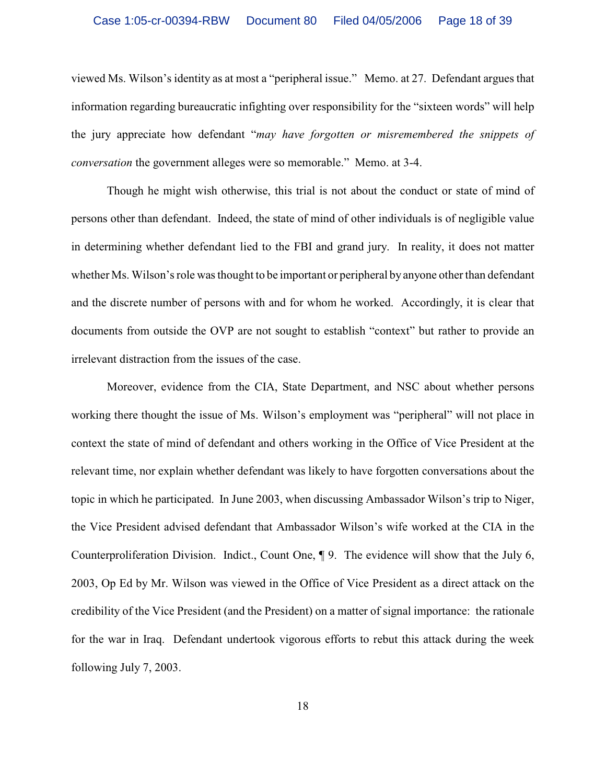#### Case 1:05-cr-00394-RBW Document 80 Filed 04/05/2006 Page 18 of 39

viewed Ms. Wilson's identity as at most a "peripheral issue." Memo. at 27. Defendant argues that information regarding bureaucratic infighting over responsibility for the "sixteen words" will help the jury appreciate how defendant "*may have forgotten or misremembered the snippets of conversation* the government alleges were so memorable." Memo. at 3-4.

Though he might wish otherwise, this trial is not about the conduct or state of mind of persons other than defendant. Indeed, the state of mind of other individuals is of negligible value in determining whether defendant lied to the FBI and grand jury. In reality, it does not matter whether Ms. Wilson's role was thought to be important or peripheral by anyone other than defendant and the discrete number of persons with and for whom he worked. Accordingly, it is clear that documents from outside the OVP are not sought to establish "context" but rather to provide an irrelevant distraction from the issues of the case.

Moreover, evidence from the CIA, State Department, and NSC about whether persons working there thought the issue of Ms. Wilson's employment was "peripheral" will not place in context the state of mind of defendant and others working in the Office of Vice President at the relevant time, nor explain whether defendant was likely to have forgotten conversations about the topic in which he participated. In June 2003, when discussing Ambassador Wilson's trip to Niger, the Vice President advised defendant that Ambassador Wilson's wife worked at the CIA in the Counterproliferation Division. Indict., Count One, ¶ 9. The evidence will show that the July 6, 2003, Op Ed by Mr. Wilson was viewed in the Office of Vice President as a direct attack on the credibility of the Vice President (and the President) on a matter of signal importance: the rationale for the war in Iraq. Defendant undertook vigorous efforts to rebut this attack during the week following July 7, 2003.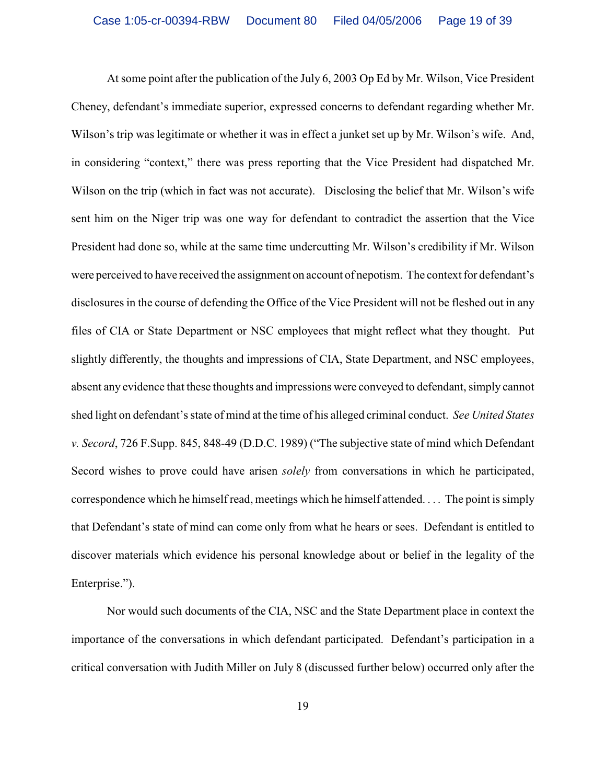At some point after the publication of the July 6, 2003 Op Ed by Mr. Wilson, Vice President Cheney, defendant's immediate superior, expressed concerns to defendant regarding whether Mr. Wilson's trip was legitimate or whether it was in effect a junket set up by Mr. Wilson's wife. And, in considering "context," there was press reporting that the Vice President had dispatched Mr. Wilson on the trip (which in fact was not accurate). Disclosing the belief that Mr. Wilson's wife sent him on the Niger trip was one way for defendant to contradict the assertion that the Vice President had done so, while at the same time undercutting Mr. Wilson's credibility if Mr. Wilson were perceived to have received the assignment on account of nepotism. The context for defendant's disclosures in the course of defending the Office of the Vice President will not be fleshed out in any files of CIA or State Department or NSC employees that might reflect what they thought. Put slightly differently, the thoughts and impressions of CIA, State Department, and NSC employees, absent any evidence that these thoughts and impressions were conveyed to defendant, simply cannot shed light on defendant's state of mind at the time of his alleged criminal conduct. *See United States v. Secord*, 726 F.Supp. 845, 848-49 (D.D.C. 1989) ("The subjective state of mind which Defendant Secord wishes to prove could have arisen *solely* from conversations in which he participated, correspondence which he himself read, meetings which he himself attended. . . . The point is simply that Defendant's state of mind can come only from what he hears or sees. Defendant is entitled to discover materials which evidence his personal knowledge about or belief in the legality of the Enterprise.").

Nor would such documents of the CIA, NSC and the State Department place in context the importance of the conversations in which defendant participated. Defendant's participation in a critical conversation with Judith Miller on July 8 (discussed further below) occurred only after the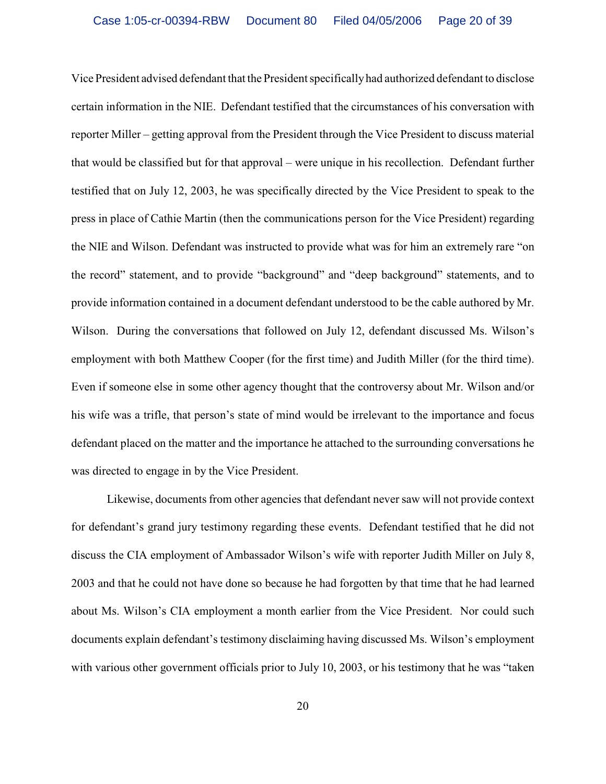Vice President advised defendant that the President specifically had authorized defendant to disclose certain information in the NIE. Defendant testified that the circumstances of his conversation with reporter Miller – getting approval from the President through the Vice President to discuss material that would be classified but for that approval – were unique in his recollection. Defendant further testified that on July 12, 2003, he was specifically directed by the Vice President to speak to the press in place of Cathie Martin (then the communications person for the Vice President) regarding the NIE and Wilson. Defendant was instructed to provide what was for him an extremely rare "on the record" statement, and to provide "background" and "deep background" statements, and to provide information contained in a document defendant understood to be the cable authored by Mr. Wilson. During the conversations that followed on July 12, defendant discussed Ms. Wilson's employment with both Matthew Cooper (for the first time) and Judith Miller (for the third time). Even if someone else in some other agency thought that the controversy about Mr. Wilson and/or his wife was a trifle, that person's state of mind would be irrelevant to the importance and focus defendant placed on the matter and the importance he attached to the surrounding conversations he was directed to engage in by the Vice President.

Likewise, documents from other agencies that defendant never saw will not provide context for defendant's grand jury testimony regarding these events. Defendant testified that he did not discuss the CIA employment of Ambassador Wilson's wife with reporter Judith Miller on July 8, 2003 and that he could not have done so because he had forgotten by that time that he had learned about Ms. Wilson's CIA employment a month earlier from the Vice President. Nor could such documents explain defendant's testimony disclaiming having discussed Ms. Wilson's employment with various other government officials prior to July 10, 2003, or his testimony that he was "taken"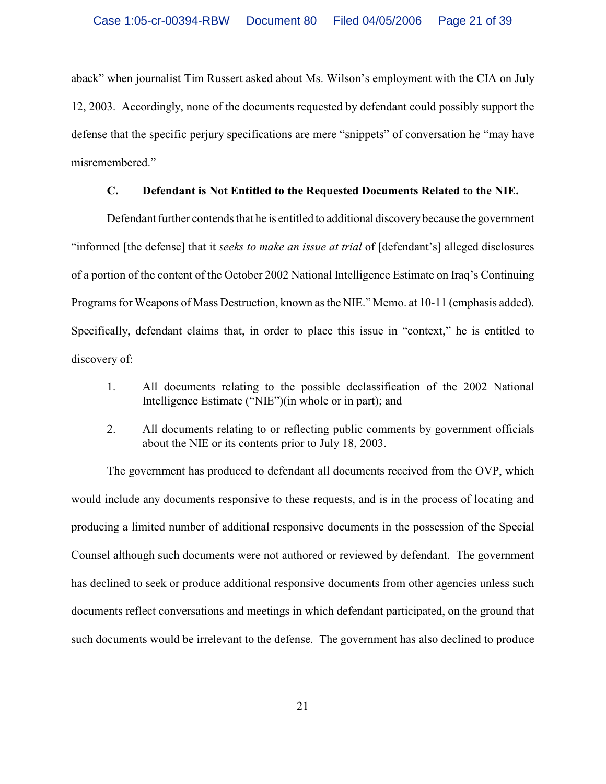aback" when journalist Tim Russert asked about Ms. Wilson's employment with the CIA on July 12, 2003. Accordingly, none of the documents requested by defendant could possibly support the defense that the specific perjury specifications are mere "snippets" of conversation he "may have misremembered."

### **C. Defendant is Not Entitled to the Requested Documents Related to the NIE.**

Defendant further contends that he is entitled to additional discovery because the government "informed [the defense] that it *seeks to make an issue at trial* of [defendant's] alleged disclosures of a portion of the content of the October 2002 National Intelligence Estimate on Iraq's Continuing Programs for Weapons of Mass Destruction, known as the NIE." Memo. at 10-11 (emphasis added). Specifically, defendant claims that, in order to place this issue in "context," he is entitled to discovery of:

- 1. All documents relating to the possible declassification of the 2002 National Intelligence Estimate ("NIE")(in whole or in part); and
- 2. All documents relating to or reflecting public comments by government officials about the NIE or its contents prior to July 18, 2003.

The government has produced to defendant all documents received from the OVP, which would include any documents responsive to these requests, and is in the process of locating and producing a limited number of additional responsive documents in the possession of the Special Counsel although such documents were not authored or reviewed by defendant. The government has declined to seek or produce additional responsive documents from other agencies unless such documents reflect conversations and meetings in which defendant participated, on the ground that such documents would be irrelevant to the defense. The government has also declined to produce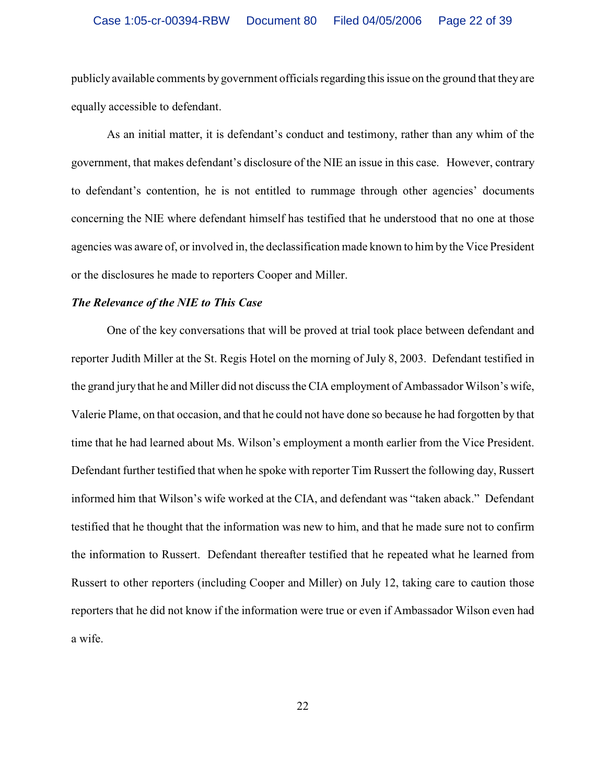### Case 1:05-cr-00394-RBW Document 80 Filed 04/05/2006 Page 22 of 39

publicly available comments by government officials regarding this issue on the ground that they are equally accessible to defendant.

As an initial matter, it is defendant's conduct and testimony, rather than any whim of the government, that makes defendant's disclosure of the NIE an issue in this case. However, contrary to defendant's contention, he is not entitled to rummage through other agencies' documents concerning the NIE where defendant himself has testified that he understood that no one at those agencies was aware of, or involved in, the declassification made known to him by the Vice President or the disclosures he made to reporters Cooper and Miller.

#### *The Relevance of the NIE to This Case*

One of the key conversations that will be proved at trial took place between defendant and reporter Judith Miller at the St. Regis Hotel on the morning of July 8, 2003. Defendant testified in the grand jury that he and Miller did not discuss the CIA employment of Ambassador Wilson's wife, Valerie Plame, on that occasion, and that he could not have done so because he had forgotten by that time that he had learned about Ms. Wilson's employment a month earlier from the Vice President. Defendant further testified that when he spoke with reporter Tim Russert the following day, Russert informed him that Wilson's wife worked at the CIA, and defendant was "taken aback." Defendant testified that he thought that the information was new to him, and that he made sure not to confirm the information to Russert. Defendant thereafter testified that he repeated what he learned from Russert to other reporters (including Cooper and Miller) on July 12, taking care to caution those reporters that he did not know if the information were true or even if Ambassador Wilson even had a wife.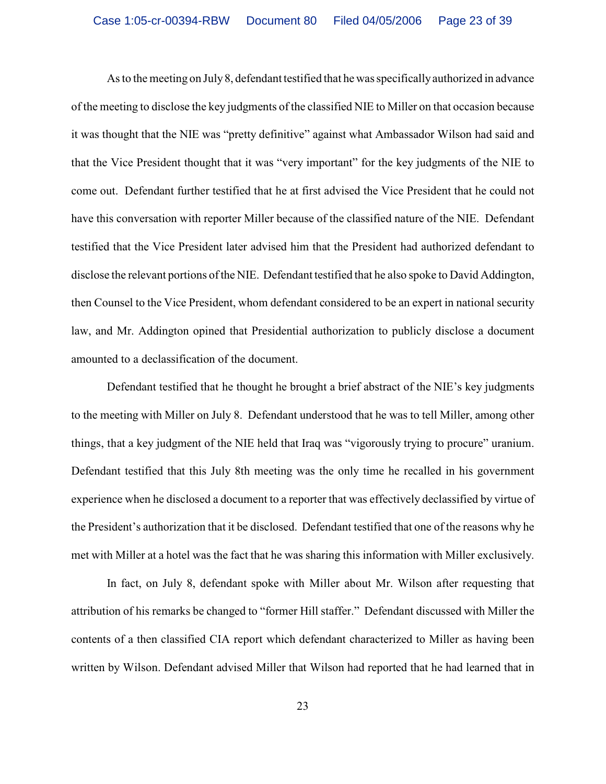As to the meeting on July8, defendant testified that he was specificallyauthorized in advance of the meeting to disclose the key judgments of the classified NIE to Miller on that occasion because it was thought that the NIE was "pretty definitive" against what Ambassador Wilson had said and that the Vice President thought that it was "very important" for the key judgments of the NIE to come out. Defendant further testified that he at first advised the Vice President that he could not have this conversation with reporter Miller because of the classified nature of the NIE. Defendant testified that the Vice President later advised him that the President had authorized defendant to disclose the relevant portions ofthe NIE. Defendant testified that he also spoke to David Addington, then Counsel to the Vice President, whom defendant considered to be an expert in national security law, and Mr. Addington opined that Presidential authorization to publicly disclose a document amounted to a declassification of the document.

Defendant testified that he thought he brought a brief abstract of the NIE's key judgments to the meeting with Miller on July 8. Defendant understood that he was to tell Miller, among other things, that a key judgment of the NIE held that Iraq was "vigorously trying to procure" uranium. Defendant testified that this July 8th meeting was the only time he recalled in his government experience when he disclosed a document to a reporter that was effectively declassified by virtue of the President's authorization that it be disclosed. Defendant testified that one of the reasons why he met with Miller at a hotel was the fact that he was sharing this information with Miller exclusively.

In fact, on July 8, defendant spoke with Miller about Mr. Wilson after requesting that attribution of his remarks be changed to "former Hill staffer." Defendant discussed with Miller the contents of a then classified CIA report which defendant characterized to Miller as having been written by Wilson. Defendant advised Miller that Wilson had reported that he had learned that in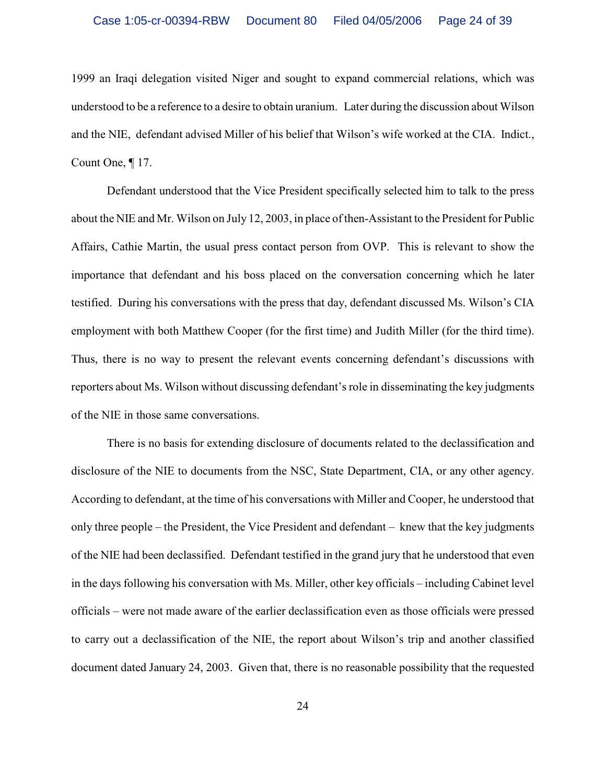1999 an Iraqi delegation visited Niger and sought to expand commercial relations, which was understood to be a reference to a desire to obtain uranium. Later during the discussion about Wilson and the NIE, defendant advised Miller of his belief that Wilson's wife worked at the CIA. Indict., Count One, ¶ 17.

Defendant understood that the Vice President specifically selected him to talk to the press about the NIE and Mr. Wilson on July 12, 2003, in place of then-Assistant to the President for Public Affairs, Cathie Martin, the usual press contact person from OVP. This is relevant to show the importance that defendant and his boss placed on the conversation concerning which he later testified. During his conversations with the press that day, defendant discussed Ms. Wilson's CIA employment with both Matthew Cooper (for the first time) and Judith Miller (for the third time). Thus, there is no way to present the relevant events concerning defendant's discussions with reporters about Ms. Wilson without discussing defendant's role in disseminating the key judgments of the NIE in those same conversations.

There is no basis for extending disclosure of documents related to the declassification and disclosure of the NIE to documents from the NSC, State Department, CIA, or any other agency. According to defendant, at the time of his conversations with Miller and Cooper, he understood that only three people – the President, the Vice President and defendant – knew that the key judgments of the NIE had been declassified. Defendant testified in the grand jury that he understood that even in the days following his conversation with Ms. Miller, other key officials – including Cabinet level officials – were not made aware of the earlier declassification even as those officials were pressed to carry out a declassification of the NIE, the report about Wilson's trip and another classified document dated January 24, 2003. Given that, there is no reasonable possibility that the requested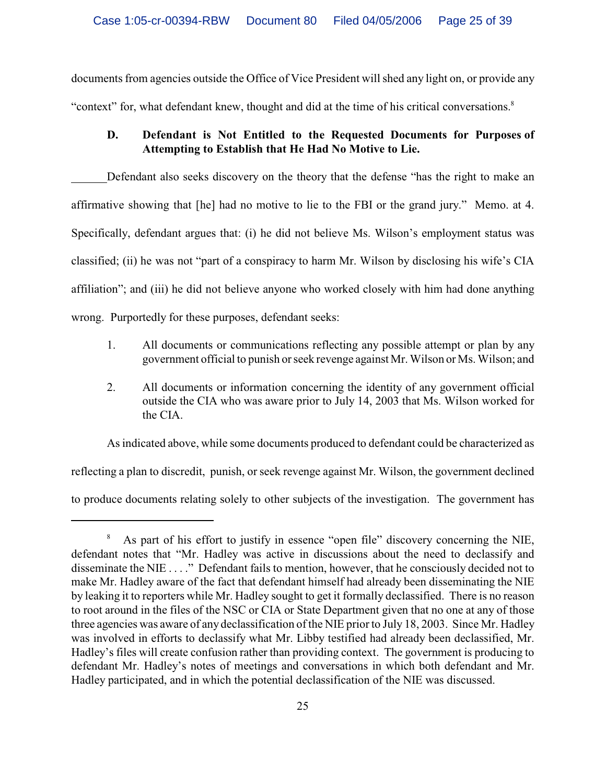documents from agencies outside the Office of Vice President will shed any light on, or provide any "context" for, what defendant knew, thought and did at the time of his critical conversations.<sup>8</sup>

# **D. Defendant is Not Entitled to the Requested Documents for Purposes of Attempting to Establish that He Had No Motive to Lie.**

Defendant also seeks discovery on the theory that the defense "has the right to make an affirmative showing that [he] had no motive to lie to the FBI or the grand jury." Memo. at 4. Specifically, defendant argues that: (i) he did not believe Ms. Wilson's employment status was classified; (ii) he was not "part of a conspiracy to harm Mr. Wilson by disclosing his wife's CIA affiliation"; and (iii) he did not believe anyone who worked closely with him had done anything wrong. Purportedly for these purposes, defendant seeks:

- 1. All documents or communications reflecting any possible attempt or plan by any government official to punish or seek revenge against Mr. Wilson or Ms. Wilson; and
- 2. All documents or information concerning the identity of any government official outside the CIA who was aware prior to July 14, 2003 that Ms. Wilson worked for the CIA.

As indicated above, while some documents produced to defendant could be characterized as

reflecting a plan to discredit, punish, or seek revenge against Mr. Wilson, the government declined

to produce documents relating solely to other subjects of the investigation. The government has

<sup>&</sup>lt;sup>8</sup> As part of his effort to justify in essence "open file" discovery concerning the NIE, defendant notes that "Mr. Hadley was active in discussions about the need to declassify and disseminate the NIE . . . ." Defendant fails to mention, however, that he consciously decided not to make Mr. Hadley aware of the fact that defendant himself had already been disseminating the NIE by leaking it to reporters while Mr. Hadley sought to get it formally declassified. There is no reason to root around in the files of the NSC or CIA or State Department given that no one at any of those three agencies was aware of any declassification of the NIE prior to July 18, 2003. Since Mr. Hadley was involved in efforts to declassify what Mr. Libby testified had already been declassified, Mr. Hadley's files will create confusion rather than providing context. The government is producing to defendant Mr. Hadley's notes of meetings and conversations in which both defendant and Mr. Hadley participated, and in which the potential declassification of the NIE was discussed.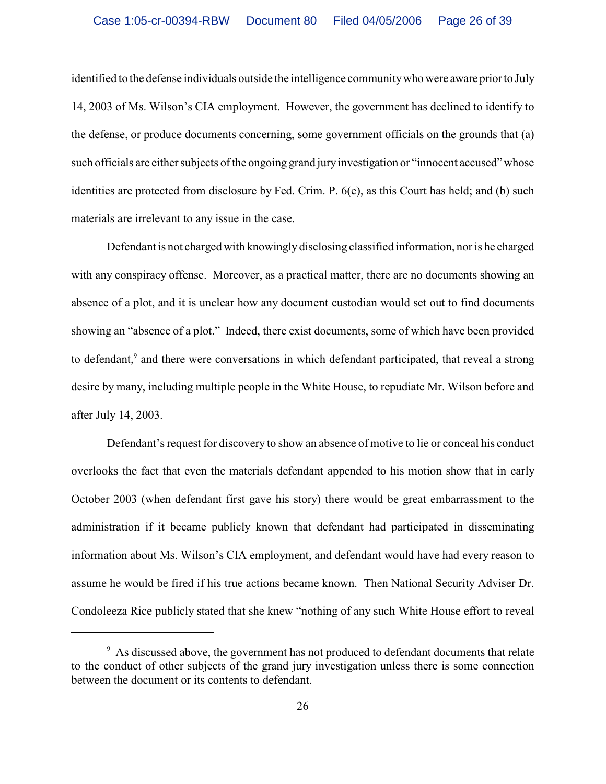identified to the defense individuals outside the intelligence community who were aware prior to July 14, 2003 of Ms. Wilson's CIA employment. However, the government has declined to identify to the defense, or produce documents concerning, some government officials on the grounds that (a) such officials are either subjects of the ongoing grand jury investigation or "innocent accused" whose identities are protected from disclosure by Fed. Crim. P. 6(e), as this Court has held; and (b) such materials are irrelevant to any issue in the case.

Defendant is not charged with knowingly disclosing classified information, nor is he charged with any conspiracy offense. Moreover, as a practical matter, there are no documents showing an absence of a plot, and it is unclear how any document custodian would set out to find documents showing an "absence of a plot." Indeed, there exist documents, some of which have been provided to defendant,<sup>9</sup> and there were conversations in which defendant participated, that reveal a strong desire by many, including multiple people in the White House, to repudiate Mr. Wilson before and after July 14, 2003.

Defendant's request for discovery to show an absence of motive to lie or conceal his conduct overlooks the fact that even the materials defendant appended to his motion show that in early October 2003 (when defendant first gave his story) there would be great embarrassment to the administration if it became publicly known that defendant had participated in disseminating information about Ms. Wilson's CIA employment, and defendant would have had every reason to assume he would be fired if his true actions became known. Then National Security Adviser Dr. Condoleeza Rice publicly stated that she knew "nothing of any such White House effort to reveal

<sup>&</sup>lt;sup>9</sup> As discussed above, the government has not produced to defendant documents that relate to the conduct of other subjects of the grand jury investigation unless there is some connection between the document or its contents to defendant.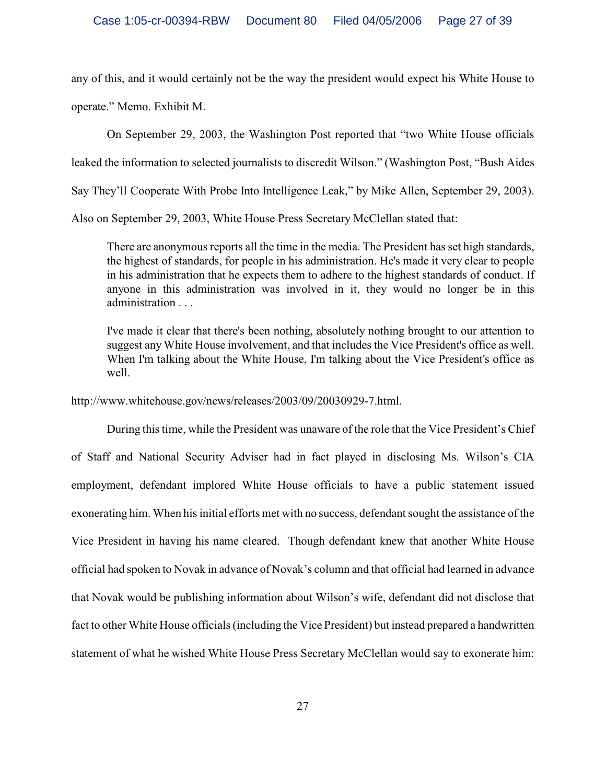any of this, and it would certainly not be the way the president would expect his White House to operate." Memo. Exhibit M.

On September 29, 2003, the Washington Post reported that "two White House officials leaked the information to selected journalists to discredit Wilson." (Washington Post, "Bush Aides Say They'll Cooperate With Probe Into Intelligence Leak," by Mike Allen, September 29, 2003).

Also on September 29, 2003, White House Press Secretary McClellan stated that:

There are anonymous reports all the time in the media. The President has set high standards, the highest of standards, for people in his administration. He's made it very clear to people in his administration that he expects them to adhere to the highest standards of conduct. If anyone in this administration was involved in it, they would no longer be in this administration . . .

I've made it clear that there's been nothing, absolutely nothing brought to our attention to suggest anyWhite House involvement, and that includes the Vice President's office as well. When I'm talking about the White House, I'm talking about the Vice President's office as well.

http://www.whitehouse.gov/news/releases/2003/09/20030929-7.html.

During this time, while the President was unaware of the role that the Vice President's Chief of Staff and National Security Adviser had in fact played in disclosing Ms. Wilson's CIA employment, defendant implored White House officials to have a public statement issued exonerating him. When his initial efforts met with no success, defendant sought the assistance of the Vice President in having his name cleared. Though defendant knew that another White House official had spoken to Novak in advance of Novak's column and that official had learned in advance that Novak would be publishing information about Wilson's wife, defendant did not disclose that fact to other White House officials (including the Vice President) but instead prepared a handwritten statement of what he wished White House Press Secretary McClellan would say to exonerate him: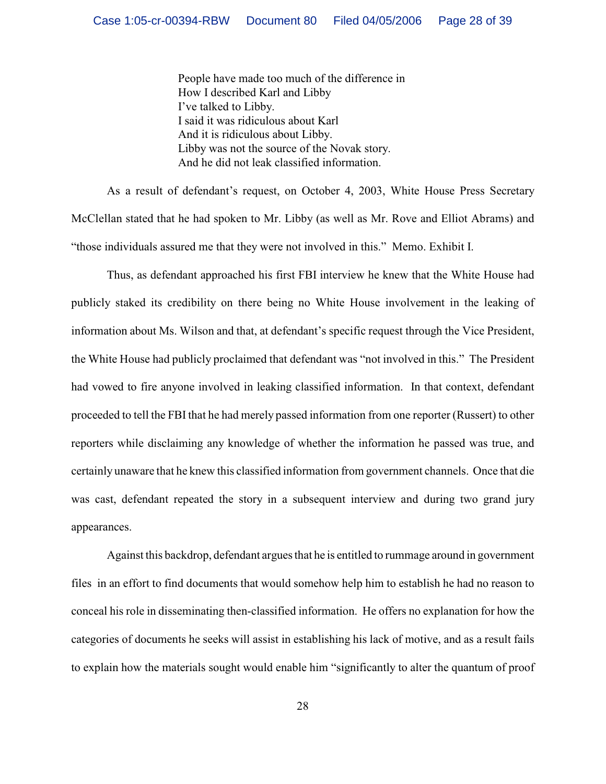People have made too much of the difference in How I described Karl and Libby I've talked to Libby. I said it was ridiculous about Karl And it is ridiculous about Libby. Libby was not the source of the Novak story. And he did not leak classified information.

As a result of defendant's request, on October 4, 2003, White House Press Secretary McClellan stated that he had spoken to Mr. Libby (as well as Mr. Rove and Elliot Abrams) and "those individuals assured me that they were not involved in this." Memo. Exhibit I.

Thus, as defendant approached his first FBI interview he knew that the White House had publicly staked its credibility on there being no White House involvement in the leaking of information about Ms. Wilson and that, at defendant's specific request through the Vice President, the White House had publicly proclaimed that defendant was "not involved in this." The President had vowed to fire anyone involved in leaking classified information. In that context, defendant proceeded to tell the FBI that he had merely passed information from one reporter (Russert) to other reporters while disclaiming any knowledge of whether the information he passed was true, and certainly unaware that he knew this classified information from government channels. Once that die was cast, defendant repeated the story in a subsequent interview and during two grand jury appearances.

Against this backdrop, defendant argues that he is entitled to rummage around in government files in an effort to find documents that would somehow help him to establish he had no reason to conceal his role in disseminating then-classified information. He offers no explanation for how the categories of documents he seeks will assist in establishing his lack of motive, and as a result fails to explain how the materials sought would enable him "significantly to alter the quantum of proof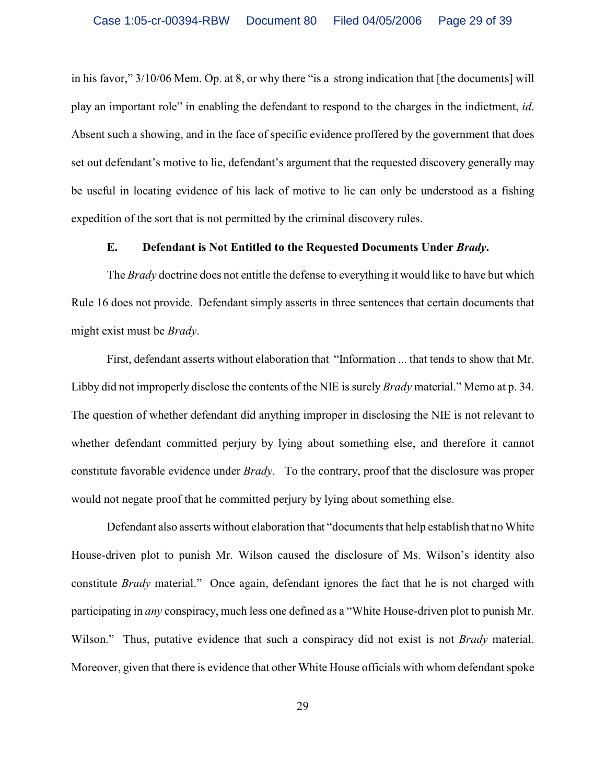in his favor," 3/10/06 Mem. Op. at 8, or why there "is a strong indication that [the documents] will play an important role" in enabling the defendant to respond to the charges in the indictment, *id*. Absent such a showing, and in the face of specific evidence proffered by the government that does set out defendant's motive to lie, defendant's argument that the requested discovery generally may be useful in locating evidence of his lack of motive to lie can only be understood as a fishing expedition of the sort that is not permitted by the criminal discovery rules.

### **E. Defendant is Not Entitled to the Requested Documents Under** *Brady***.**

The *Brady* doctrine does not entitle the defense to everything it would like to have but which Rule 16 does not provide. Defendant simply asserts in three sentences that certain documents that might exist must be *Brady*.

First, defendant asserts without elaboration that "Information ... that tends to show that Mr. Libby did not improperly disclose the contents of the NIE is surely *Brady* material." Memo at p. 34. The question of whether defendant did anything improper in disclosing the NIE is not relevant to whether defendant committed perjury by lying about something else, and therefore it cannot constitute favorable evidence under *Brady*. To the contrary, proof that the disclosure was proper would not negate proof that he committed perjury by lying about something else.

Defendant also asserts without elaboration that "documents that help establish that no White House-driven plot to punish Mr. Wilson caused the disclosure of Ms. Wilson's identity also constitute *Brady* material." Once again, defendant ignores the fact that he is not charged with participating in *any* conspiracy, much less one defined as a "White House-driven plot to punish Mr. Wilson." Thus, putative evidence that such a conspiracy did not exist is not *Brady* material. Moreover, given that there is evidence that other White House officials with whom defendant spoke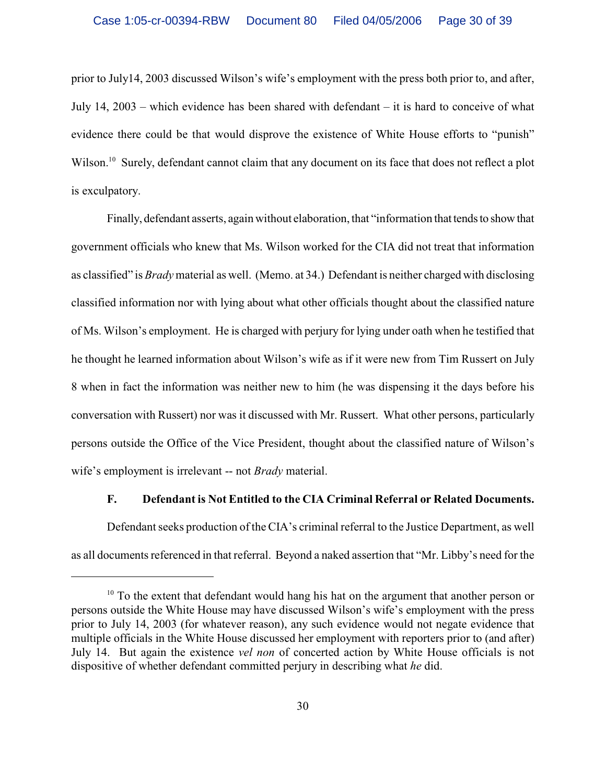prior to July14, 2003 discussed Wilson's wife's employment with the press both prior to, and after, July 14, 2003 – which evidence has been shared with defendant – it is hard to conceive of what evidence there could be that would disprove the existence of White House efforts to "punish" Wilson.<sup>10</sup> Surely, defendant cannot claim that any document on its face that does not reflect a plot is exculpatory.

Finally, defendant asserts, again without elaboration, that "information that tends to show that government officials who knew that Ms. Wilson worked for the CIA did not treat that information as classified" is *Brady* material as well. (Memo. at 34.) Defendant is neither charged with disclosing classified information nor with lying about what other officials thought about the classified nature of Ms. Wilson's employment. He is charged with perjury for lying under oath when he testified that he thought he learned information about Wilson's wife as if it were new from Tim Russert on July 8 when in fact the information was neither new to him (he was dispensing it the days before his conversation with Russert) nor was it discussed with Mr. Russert. What other persons, particularly persons outside the Office of the Vice President, thought about the classified nature of Wilson's wife's employment is irrelevant -- not *Brady* material.

#### **F. Defendant is Not Entitled to the CIA Criminal Referral or Related Documents.**

Defendant seeks production of the CIA's criminal referral to the Justice Department, as well as all documents referenced in that referral. Beyond a naked assertion that "Mr. Libby's need for the

 $10$  To the extent that defendant would hang his hat on the argument that another person or persons outside the White House may have discussed Wilson's wife's employment with the press prior to July 14, 2003 (for whatever reason), any such evidence would not negate evidence that multiple officials in the White House discussed her employment with reporters prior to (and after) July 14. But again the existence *vel non* of concerted action by White House officials is not dispositive of whether defendant committed perjury in describing what *he* did.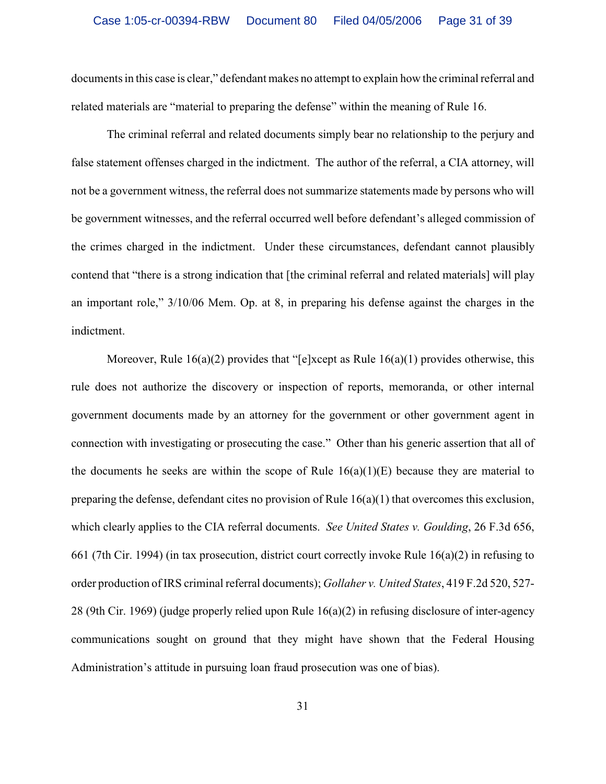documents in this case is clear," defendant makes no attempt to explain how the criminal referral and related materials are "material to preparing the defense" within the meaning of Rule 16.

The criminal referral and related documents simply bear no relationship to the perjury and false statement offenses charged in the indictment. The author of the referral, a CIA attorney, will not be a government witness, the referral does not summarize statements made by persons who will be government witnesses, and the referral occurred well before defendant's alleged commission of the crimes charged in the indictment. Under these circumstances, defendant cannot plausibly contend that "there is a strong indication that [the criminal referral and related materials] will play an important role," 3/10/06 Mem. Op. at 8, in preparing his defense against the charges in the indictment.

Moreover, Rule  $16(a)(2)$  provides that "[e]xcept as Rule  $16(a)(1)$  provides otherwise, this rule does not authorize the discovery or inspection of reports, memoranda, or other internal government documents made by an attorney for the government or other government agent in connection with investigating or prosecuting the case." Other than his generic assertion that all of the documents he seeks are within the scope of Rule  $16(a)(1)(E)$  because they are material to preparing the defense, defendant cites no provision of Rule 16(a)(1) that overcomes this exclusion, which clearly applies to the CIA referral documents. *See United States v. Goulding*, 26 F.3d 656, 661 (7th Cir. 1994) (in tax prosecution, district court correctly invoke Rule 16(a)(2) in refusing to order production ofIRS criminal referral documents); *Gollaher v. United States*, 419 F.2d 520, 527- 28 (9th Cir. 1969) (judge properly relied upon Rule 16(a)(2) in refusing disclosure of inter-agency communications sought on ground that they might have shown that the Federal Housing Administration's attitude in pursuing loan fraud prosecution was one of bias).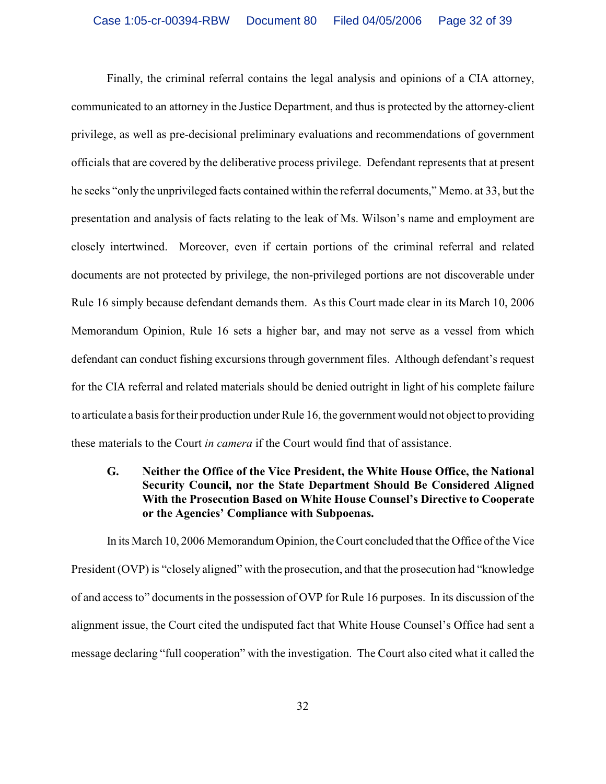Finally, the criminal referral contains the legal analysis and opinions of a CIA attorney, communicated to an attorney in the Justice Department, and thus is protected by the attorney-client privilege, as well as pre-decisional preliminary evaluations and recommendations of government officials that are covered by the deliberative process privilege. Defendant represents that at present he seeks "only the unprivileged facts contained within the referral documents," Memo. at 33, but the presentation and analysis of facts relating to the leak of Ms. Wilson's name and employment are closely intertwined. Moreover, even if certain portions of the criminal referral and related documents are not protected by privilege, the non-privileged portions are not discoverable under Rule 16 simply because defendant demands them. As this Court made clear in its March 10, 2006 Memorandum Opinion, Rule 16 sets a higher bar, and may not serve as a vessel from which defendant can conduct fishing excursions through government files. Although defendant's request for the CIA referral and related materials should be denied outright in light of his complete failure to articulate a basis for their production under Rule 16, the government would not object to providing these materials to the Court *in camera* if the Court would find that of assistance.

# **G. Neither the Office of the Vice President, the White House Office, the National Security Council, nor the State Department Should Be Considered Aligned With the Prosecution Based on White House Counsel's Directive to Cooperate or the Agencies' Compliance with Subpoenas.**

In its March 10, 2006 Memorandum Opinion, the Court concluded that the Office of the Vice President (OVP) is "closely aligned" with the prosecution, and that the prosecution had "knowledge of and access to" documents in the possession of OVP for Rule 16 purposes. In its discussion of the alignment issue, the Court cited the undisputed fact that White House Counsel's Office had sent a message declaring "full cooperation" with the investigation. The Court also cited what it called the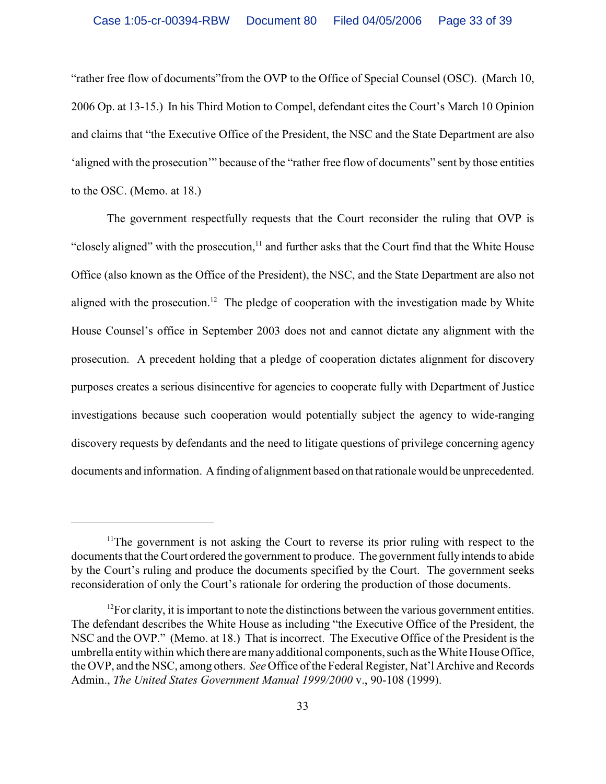"rather free flow of documents"from the OVP to the Office of Special Counsel (OSC). (March 10, 2006 Op. at 13-15.) In his Third Motion to Compel, defendant cites the Court's March 10 Opinion and claims that "the Executive Office of the President, the NSC and the State Department are also 'aligned with the prosecution'" because of the "rather free flow of documents" sent by those entities to the OSC. (Memo. at 18.)

The government respectfully requests that the Court reconsider the ruling that OVP is "closely aligned" with the prosecution, $<sup>11</sup>$  and further asks that the Court find that the White House</sup> Office (also known as the Office of the President), the NSC, and the State Department are also not aligned with the prosecution.<sup>12</sup> The pledge of cooperation with the investigation made by White House Counsel's office in September 2003 does not and cannot dictate any alignment with the prosecution. A precedent holding that a pledge of cooperation dictates alignment for discovery purposes creates a serious disincentive for agencies to cooperate fully with Department of Justice investigations because such cooperation would potentially subject the agency to wide-ranging discovery requests by defendants and the need to litigate questions of privilege concerning agency documents and information. A finding of alignment based on that rationale would be unprecedented.

<sup>&</sup>lt;sup>11</sup>The government is not asking the Court to reverse its prior ruling with respect to the documents that the Court ordered the government to produce. The government fully intends to abide by the Court's ruling and produce the documents specified by the Court. The government seeks reconsideration of only the Court's rationale for ordering the production of those documents.

 $^{12}$ For clarity, it is important to note the distinctions between the various government entities. The defendant describes the White House as including "the Executive Office of the President, the NSC and the OVP." (Memo. at 18.) That is incorrect. The Executive Office of the President is the umbrella entity within which there are many additional components, such as the White House Office, the OVP, and the NSC, among others. *See* Office of the Federal Register, Nat'l Archive and Records Admin., *The United States Government Manual 1999/2000* v., 90-108 (1999).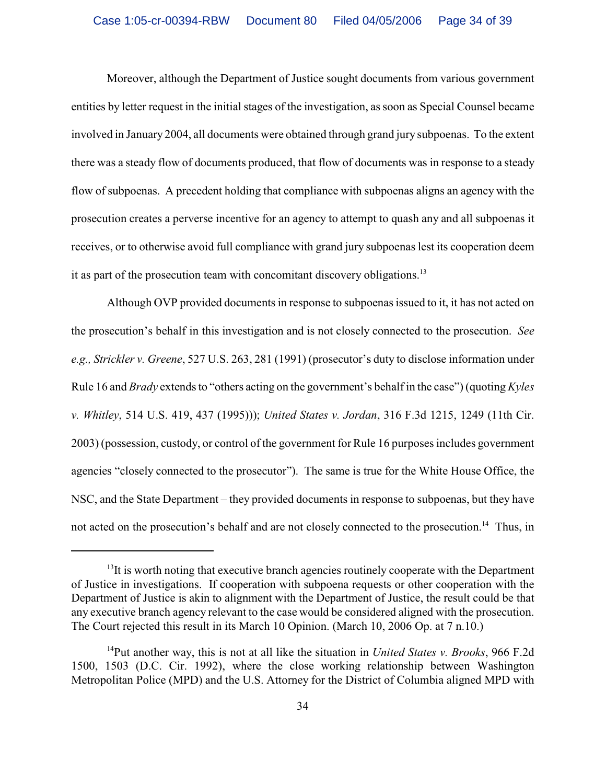Moreover, although the Department of Justice sought documents from various government entities by letter request in the initial stages of the investigation, as soon as Special Counsel became involved in January 2004, all documents were obtained through grand jury subpoenas. To the extent there was a steady flow of documents produced, that flow of documents was in response to a steady flow of subpoenas. A precedent holding that compliance with subpoenas aligns an agency with the prosecution creates a perverse incentive for an agency to attempt to quash any and all subpoenas it receives, or to otherwise avoid full compliance with grand jury subpoenas lest its cooperation deem it as part of the prosecution team with concomitant discovery obligations.<sup>13</sup>

Although OVP provided documents in response to subpoenas issued to it, it has not acted on the prosecution's behalf in this investigation and is not closely connected to the prosecution. *See e.g., Strickler v. Greene*, 527 U.S. 263, 281 (1991) (prosecutor's duty to disclose information under Rule 16 and *Brady* extends to "others acting on the government's behalf in the case") (quoting *Kyles v. Whitley*, 514 U.S. 419, 437 (1995))); *United States v. Jordan*, 316 F.3d 1215, 1249 (11th Cir. 2003) (possession, custody, or control of the government for Rule 16 purposes includes government agencies "closely connected to the prosecutor"). The same is true for the White House Office, the NSC, and the State Department – they provided documents in response to subpoenas, but they have not acted on the prosecution's behalf and are not closely connected to the prosecution.<sup>14</sup> Thus, in

 $<sup>13</sup>$ It is worth noting that executive branch agencies routinely cooperate with the Department</sup> of Justice in investigations. If cooperation with subpoena requests or other cooperation with the Department of Justice is akin to alignment with the Department of Justice, the result could be that any executive branch agency relevant to the case would be considered aligned with the prosecution. The Court rejected this result in its March 10 Opinion. (March 10, 2006 Op. at 7 n.10.)

<sup>&</sup>lt;sup>14</sup>Put another way, this is not at all like the situation in *United States v. Brooks*, 966 F.2d 1500, 1503 (D.C. Cir. 1992), where the close working relationship between Washington Metropolitan Police (MPD) and the U.S. Attorney for the District of Columbia aligned MPD with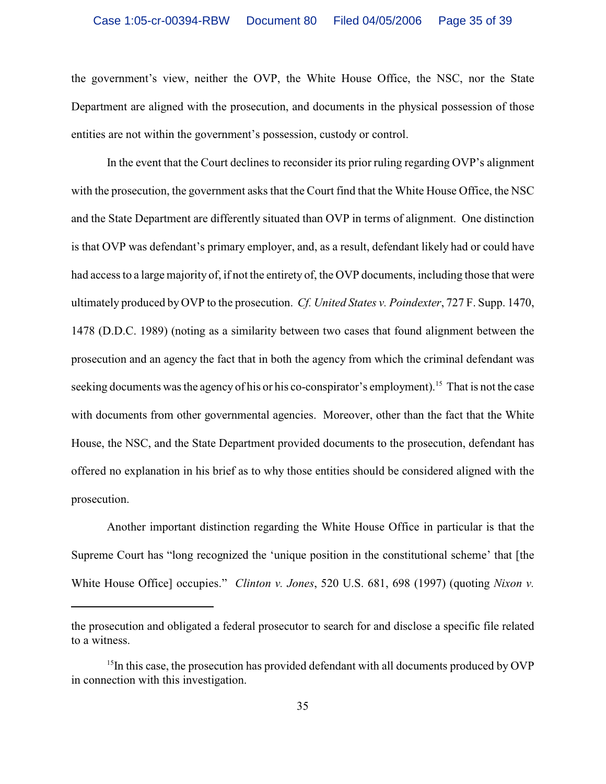### Case 1:05-cr-00394-RBW Document 80 Filed 04/05/2006 Page 35 of 39

the government's view, neither the OVP, the White House Office, the NSC, nor the State Department are aligned with the prosecution, and documents in the physical possession of those entities are not within the government's possession, custody or control.

In the event that the Court declines to reconsider its prior ruling regarding OVP's alignment with the prosecution, the government asks that the Court find that the White House Office, the NSC and the State Department are differently situated than OVP in terms of alignment. One distinction is that OVP was defendant's primary employer, and, as a result, defendant likely had or could have had access to a large majority of, if not the entirety of, the OVP documents, including those that were ultimately produced by OVP to the prosecution. *Cf. United States v. Poindexter*, 727 F. Supp. 1470, 1478 (D.D.C. 1989) (noting as a similarity between two cases that found alignment between the prosecution and an agency the fact that in both the agency from which the criminal defendant was seeking documents was the agency of his or his co-conspirator's employment).<sup>15</sup> That is not the case with documents from other governmental agencies. Moreover, other than the fact that the White House, the NSC, and the State Department provided documents to the prosecution, defendant has offered no explanation in his brief as to why those entities should be considered aligned with the prosecution.

Another important distinction regarding the White House Office in particular is that the Supreme Court has "long recognized the 'unique position in the constitutional scheme' that [the White House Office] occupies." *Clinton v. Jones*, 520 U.S. 681, 698 (1997) (quoting *Nixon v.*

the prosecution and obligated a federal prosecutor to search for and disclose a specific file related to a witness.

 $15$ In this case, the prosecution has provided defendant with all documents produced by OVP in connection with this investigation.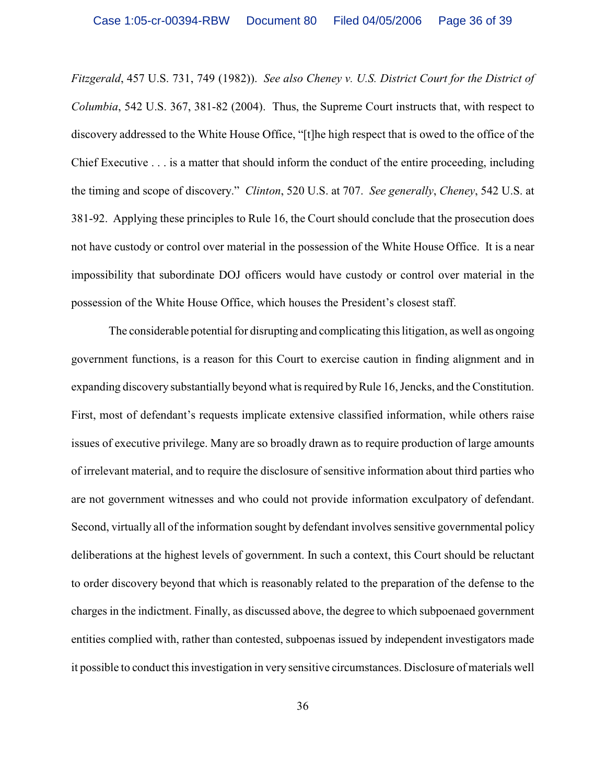*Fitzgerald*, 457 U.S. 731, 749 (1982)). *See also Cheney v. U.S. District Court for the District of Columbia*, 542 U.S. 367, 381-82 (2004). Thus, the Supreme Court instructs that, with respect to discovery addressed to the White House Office, "[t]he high respect that is owed to the office of the Chief Executive . . . is a matter that should inform the conduct of the entire proceeding, including the timing and scope of discovery." *Clinton*, 520 U.S. at 707. *See generally*, *Cheney*, 542 U.S. at 381-92. Applying these principles to Rule 16, the Court should conclude that the prosecution does not have custody or control over material in the possession of the White House Office. It is a near impossibility that subordinate DOJ officers would have custody or control over material in the possession of the White House Office, which houses the President's closest staff.

 The considerable potential for disrupting and complicating this litigation, as well as ongoing government functions, is a reason for this Court to exercise caution in finding alignment and in expanding discovery substantially beyond what is required by Rule 16, Jencks, and the Constitution. First, most of defendant's requests implicate extensive classified information, while others raise issues of executive privilege. Many are so broadly drawn as to require production of large amounts of irrelevant material, and to require the disclosure of sensitive information about third parties who are not government witnesses and who could not provide information exculpatory of defendant. Second, virtually all of the information sought by defendant involves sensitive governmental policy deliberations at the highest levels of government. In such a context, this Court should be reluctant to order discovery beyond that which is reasonably related to the preparation of the defense to the charges in the indictment. Finally, as discussed above, the degree to which subpoenaed government entities complied with, rather than contested, subpoenas issued by independent investigators made it possible to conduct this investigation in very sensitive circumstances. Disclosure of materials well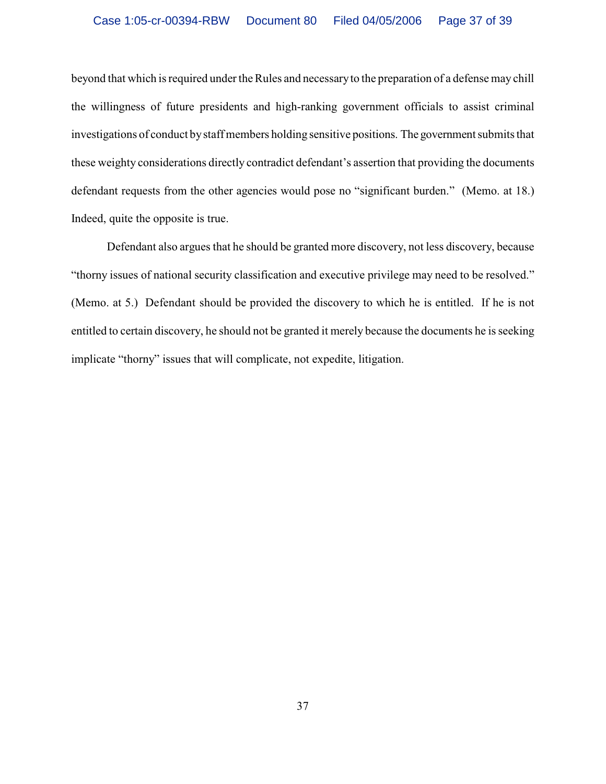beyond that which is required under the Rules and necessary to the preparation of a defense may chill the willingness of future presidents and high-ranking government officials to assist criminal investigations of conduct by staff members holding sensitive positions. The government submits that these weighty considerations directly contradict defendant's assertion that providing the documents defendant requests from the other agencies would pose no "significant burden." (Memo. at 18.) Indeed, quite the opposite is true.

Defendant also argues that he should be granted more discovery, not less discovery, because "thorny issues of national security classification and executive privilege may need to be resolved." (Memo. at 5.) Defendant should be provided the discovery to which he is entitled. If he is not entitled to certain discovery, he should not be granted it merely because the documents he is seeking implicate "thorny" issues that will complicate, not expedite, litigation.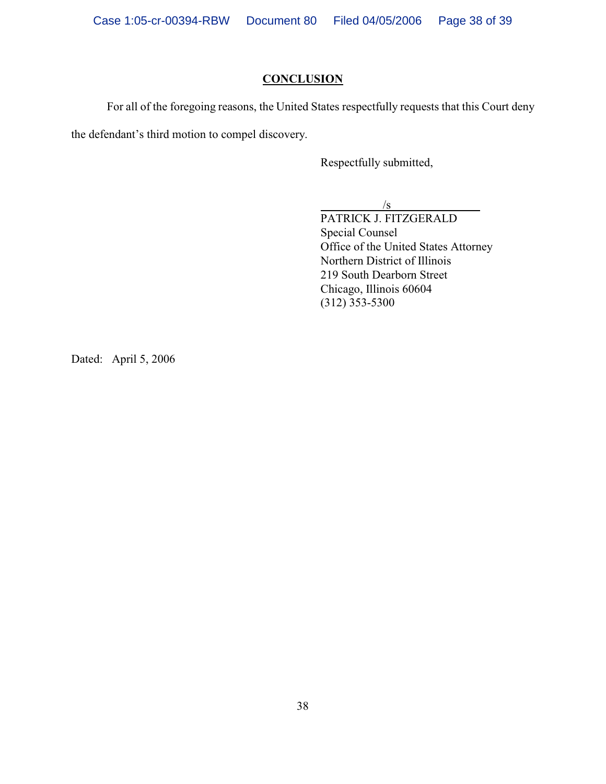## **CONCLUSION**

For all of the foregoing reasons, the United States respectfully requests that this Court deny the defendant's third motion to compel discovery.

Respectfully submitted,

 $\sqrt{s}$ 

PATRICK J. FITZGERALD Special Counsel Office of the United States Attorney Northern District of Illinois 219 South Dearborn Street Chicago, Illinois 60604 (312) 353-5300

Dated: April 5, 2006